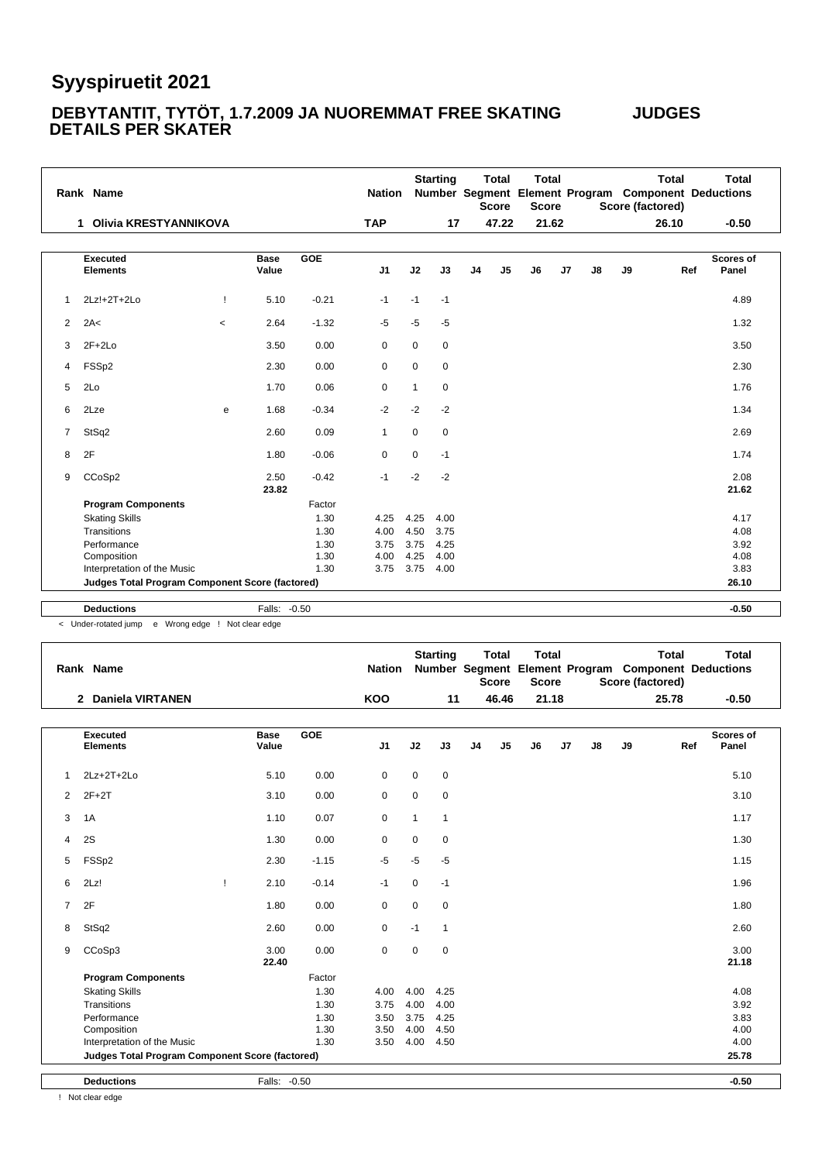#### **DEBYTANTIT, TYTÖT, 1.7.2009 JA NUOREMMAT FREE SKATING JUDGES DETAILS PER SKATER**

|                | Rank Name                                       |              |                      |            | <b>Nation</b>  |             | <b>Starting</b> |                | <b>Total</b><br><b>Score</b> | <b>Total</b><br><b>Score</b> |    |    | Score (factored) | <b>Total</b> | Total<br>Number Segment Element Program Component Deductions |
|----------------|-------------------------------------------------|--------------|----------------------|------------|----------------|-------------|-----------------|----------------|------------------------------|------------------------------|----|----|------------------|--------------|--------------------------------------------------------------|
|                | 1 Olivia KRESTYANNIKOVA                         |              |                      |            | <b>TAP</b>     |             | 17              |                | 47.22                        | 21.62                        |    |    |                  | 26.10        | $-0.50$                                                      |
|                | <b>Executed</b><br><b>Elements</b>              |              | <b>Base</b><br>Value | <b>GOE</b> | J <sub>1</sub> | J2          | J3              | J <sub>4</sub> | J <sub>5</sub>               | J6                           | J7 | J8 | J9               | Ref          | <b>Scores of</b><br>Panel                                    |
| -1             | 2Lz!+2T+2Lo                                     | $\mathbf{I}$ | 5.10                 | $-0.21$    | $-1$           | $-1$        | $-1$            |                |                              |                              |    |    |                  |              | 4.89                                                         |
| $\overline{2}$ | 2A<                                             | $\,<$        | 2.64                 | $-1.32$    | $-5$           | $-5$        | $-5$            |                |                              |                              |    |    |                  |              | 1.32                                                         |
| 3              | $2F+2Lo$                                        |              | 3.50                 | 0.00       | 0              | $\mathbf 0$ | 0               |                |                              |                              |    |    |                  |              | 3.50                                                         |
| 4              | FSSp2                                           |              | 2.30                 | 0.00       | $\mathbf 0$    | $\mathbf 0$ | $\mathbf 0$     |                |                              |                              |    |    |                  |              | 2.30                                                         |
| 5              | 2Lo                                             |              | 1.70                 | 0.06       | 0              | 1           | 0               |                |                              |                              |    |    |                  |              | 1.76                                                         |
| 6              | 2Lze                                            | e            | 1.68                 | $-0.34$    | $-2$           | $-2$        | $-2$            |                |                              |                              |    |    |                  |              | 1.34                                                         |
| 7              | StSq2                                           |              | 2.60                 | 0.09       | $\mathbf{1}$   | $\mathbf 0$ | $\mathbf 0$     |                |                              |                              |    |    |                  |              | 2.69                                                         |
| 8              | 2F                                              |              | 1.80                 | $-0.06$    | 0              | $\mathbf 0$ | $-1$            |                |                              |                              |    |    |                  |              | 1.74                                                         |
| 9              | CCoSp2                                          |              | 2.50<br>23.82        | $-0.42$    | $-1$           | $-2$        | $-2$            |                |                              |                              |    |    |                  |              | 2.08<br>21.62                                                |
|                | <b>Program Components</b>                       |              |                      | Factor     |                |             |                 |                |                              |                              |    |    |                  |              |                                                              |
|                | <b>Skating Skills</b>                           |              |                      | 1.30       | 4.25           | 4.25        | 4.00            |                |                              |                              |    |    |                  |              | 4.17                                                         |
|                | Transitions                                     |              |                      | 1.30       | 4.00           | 4.50        | 3.75            |                |                              |                              |    |    |                  |              | 4.08                                                         |
|                | Performance                                     |              |                      | 1.30       | 3.75           | 3.75        | 4.25            |                |                              |                              |    |    |                  |              | 3.92                                                         |
|                | Composition                                     |              |                      | 1.30       | 4.00           | 4.25        | 4.00            |                |                              |                              |    |    |                  |              | 4.08                                                         |
|                | Interpretation of the Music                     |              |                      | 1.30       | 3.75           | 3.75        | 4.00            |                |                              |                              |    |    |                  |              | 3.83                                                         |
|                | Judges Total Program Component Score (factored) |              |                      |            |                |             |                 |                |                              |                              |    |    |                  |              | 26.10                                                        |
|                | <b>Deductions</b>                               |              | Falls: -0.50         |            |                |             |                 |                |                              |                              |    |    |                  |              | $-0.50$                                                      |
|                |                                                 |              |                      |            |                |             |                 |                |                              |                              |    |    |                  |              |                                                              |

< Under-rotated jump e Wrong edge ! Not clear edge

|                | Rank Name                                       |   |                      |            | <b>Nation</b> |              | <b>Starting</b> |                | <b>Total</b><br><b>Score</b> | <b>Total</b><br><b>Score</b> |       |    |    | <b>Total</b><br>Score (factored) | <b>Total</b><br>Number Segment Element Program Component Deductions |
|----------------|-------------------------------------------------|---|----------------------|------------|---------------|--------------|-----------------|----------------|------------------------------|------------------------------|-------|----|----|----------------------------------|---------------------------------------------------------------------|
|                | 2 Daniela VIRTANEN                              |   |                      |            | <b>KOO</b>    |              | 11              |                | 46.46                        |                              | 21.18 |    |    | 25.78                            | $-0.50$                                                             |
|                | <b>Executed</b><br><b>Elements</b>              |   | <b>Base</b><br>Value | <b>GOE</b> | J1            | J2           | J3              | J <sub>4</sub> | J <sub>5</sub>               | J6                           | J7    | J8 | J9 | Ref                              | Scores of<br>Panel                                                  |
| 1              | $2Lz + 2T + 2Lo$                                |   | 5.10                 | 0.00       | $\mathbf 0$   | $\mathbf 0$  | $\mathbf 0$     |                |                              |                              |       |    |    |                                  | 5.10                                                                |
| 2              | $2F+2T$                                         |   | 3.10                 | 0.00       | $\mathbf 0$   | 0            | 0               |                |                              |                              |       |    |    |                                  | 3.10                                                                |
| 3              | 1A                                              |   | 1.10                 | 0.07       | $\mathbf 0$   | $\mathbf{1}$ | $\mathbf{1}$    |                |                              |                              |       |    |    |                                  | 1.17                                                                |
| 4              | 2S                                              |   | 1.30                 | 0.00       | $\mathbf 0$   | $\mathbf 0$  | 0               |                |                              |                              |       |    |    |                                  | 1.30                                                                |
| 5              | FSSp2                                           |   | 2.30                 | $-1.15$    | $-5$          | $-5$         | $-5$            |                |                              |                              |       |    |    |                                  | 1.15                                                                |
| 6              | 2Lz!                                            | Ţ | 2.10                 | $-0.14$    | $-1$          | $\mathbf 0$  | $-1$            |                |                              |                              |       |    |    |                                  | 1.96                                                                |
| $\overline{7}$ | 2F                                              |   | 1.80                 | 0.00       | $\mathbf 0$   | $\mathbf 0$  | $\mathbf 0$     |                |                              |                              |       |    |    |                                  | 1.80                                                                |
| 8              | StSq2                                           |   | 2.60                 | 0.00       | $\mathbf 0$   | $-1$         | $\mathbf{1}$    |                |                              |                              |       |    |    |                                  | 2.60                                                                |
| 9              | CCoSp3                                          |   | 3.00<br>22.40        | 0.00       | $\mathbf 0$   | $\mathbf 0$  | $\mathbf 0$     |                |                              |                              |       |    |    |                                  | 3.00<br>21.18                                                       |
|                | <b>Program Components</b>                       |   |                      | Factor     |               |              |                 |                |                              |                              |       |    |    |                                  |                                                                     |
|                | <b>Skating Skills</b>                           |   |                      | 1.30       | 4.00          | 4.00         | 4.25            |                |                              |                              |       |    |    |                                  | 4.08                                                                |
|                | Transitions                                     |   |                      | 1.30       | 3.75          | 4.00         | 4.00            |                |                              |                              |       |    |    |                                  | 3.92                                                                |
|                | Performance                                     |   |                      | 1.30       | 3.50          | 3.75         | 4.25            |                |                              |                              |       |    |    |                                  | 3.83                                                                |
|                | Composition                                     |   |                      | 1.30       | 3.50          | 4.00         | 4.50            |                |                              |                              |       |    |    |                                  | 4.00                                                                |
|                | Interpretation of the Music                     |   |                      | 1.30       | 3.50          | 4.00         | 4.50            |                |                              |                              |       |    |    |                                  | 4.00                                                                |
|                | Judges Total Program Component Score (factored) |   |                      |            |               |              |                 |                |                              |                              |       |    |    |                                  | 25.78                                                               |
|                | <b>Deductions</b>                               |   | Falls: -0.50         |            |               |              |                 |                |                              |                              |       |    |    |                                  | $-0.50$                                                             |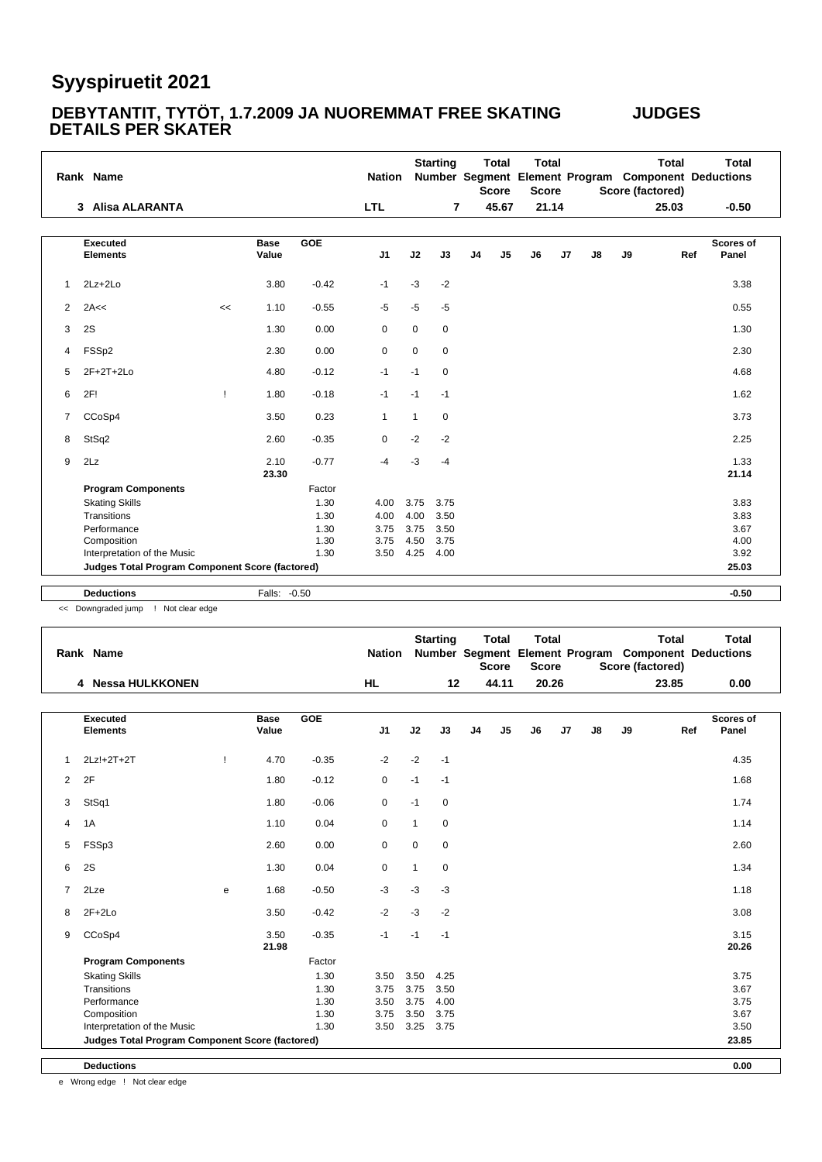#### **DEBYTANTIT, TYTÖT, 1.7.2009 JA NUOREMMAT FREE SKATING JUDGES DETAILS PER SKATER**

|   | Rank Name                                       |    |                      |            | <b>Nation</b>  |                | <b>Starting</b> |                | <b>Total</b><br><b>Score</b> | <b>Total</b><br><b>Score</b> |    |    | Score (factored) | <b>Total</b> | <b>Total</b><br>Number Segment Element Program Component Deductions |
|---|-------------------------------------------------|----|----------------------|------------|----------------|----------------|-----------------|----------------|------------------------------|------------------------------|----|----|------------------|--------------|---------------------------------------------------------------------|
|   | 3 Alisa ALARANTA                                |    |                      |            | <b>LTL</b>     |                | $\overline{7}$  |                | 45.67                        | 21.14                        |    |    |                  | 25.03        | $-0.50$                                                             |
|   |                                                 |    |                      |            |                |                |                 |                |                              |                              |    |    |                  |              |                                                                     |
|   | <b>Executed</b><br><b>Elements</b>              |    | <b>Base</b><br>Value | <b>GOE</b> | J <sub>1</sub> | J2             | J3              | J <sub>4</sub> | J <sub>5</sub>               | J6                           | J7 | J8 | J9               | Ref          | Scores of<br>Panel                                                  |
| 1 | $2Lz + 2Lo$                                     |    | 3.80                 | $-0.42$    | $-1$           | $-3$           | $-2$            |                |                              |                              |    |    |                  |              | 3.38                                                                |
| 2 | 2A <<                                           | << | 1.10                 | $-0.55$    | $-5$           | $-5$           | $-5$            |                |                              |                              |    |    |                  |              | 0.55                                                                |
| 3 | 2S                                              |    | 1.30                 | 0.00       | 0              | $\mathbf 0$    | $\mathbf 0$     |                |                              |                              |    |    |                  |              | 1.30                                                                |
| 4 | FSSp2                                           |    | 2.30                 | 0.00       | 0              | $\mathbf 0$    | $\mathbf 0$     |                |                              |                              |    |    |                  |              | 2.30                                                                |
| 5 | 2F+2T+2Lo                                       |    | 4.80                 | $-0.12$    | $-1$           | $-1$           | $\mathbf 0$     |                |                              |                              |    |    |                  |              | 4.68                                                                |
| 6 | 2F!                                             | Ţ  | 1.80                 | $-0.18$    | $-1$           | $-1$           | $-1$            |                |                              |                              |    |    |                  |              | 1.62                                                                |
| 7 | CCoSp4                                          |    | 3.50                 | 0.23       | $\mathbf{1}$   | $\overline{1}$ | $\mathbf 0$     |                |                              |                              |    |    |                  |              | 3.73                                                                |
| 8 | StSq2                                           |    | 2.60                 | $-0.35$    | $\mathbf 0$    | $-2$           | $-2$            |                |                              |                              |    |    |                  |              | 2.25                                                                |
| 9 | 2Lz                                             |    | 2.10<br>23.30        | $-0.77$    | $-4$           | -3             | -4              |                |                              |                              |    |    |                  |              | 1.33<br>21.14                                                       |
|   | <b>Program Components</b>                       |    |                      | Factor     |                |                |                 |                |                              |                              |    |    |                  |              |                                                                     |
|   | <b>Skating Skills</b>                           |    |                      | 1.30       | 4.00           | 3.75           | 3.75            |                |                              |                              |    |    |                  |              | 3.83                                                                |
|   | Transitions                                     |    |                      | 1.30       | 4.00           | 4.00           | 3.50            |                |                              |                              |    |    |                  |              | 3.83                                                                |
|   | Performance                                     |    |                      | 1.30       | 3.75           | 3.75           | 3.50            |                |                              |                              |    |    |                  |              | 3.67                                                                |
|   | Composition                                     |    |                      | 1.30       | 3.75           | 4.50           | 3.75            |                |                              |                              |    |    |                  |              | 4.00                                                                |
|   | Interpretation of the Music                     |    |                      | 1.30       | 3.50           | 4.25           | 4.00            |                |                              |                              |    |    |                  |              | 3.92                                                                |
|   | Judges Total Program Component Score (factored) |    |                      |            |                |                |                 |                |                              |                              |    |    |                  |              | 25.03                                                               |

**Deductions** Falls: -0.50 **-0.50**

<< Downgraded jump ! Not clear edge

|                | Rank Name                                              |   |                      |            | <b>Nation</b>  |              | <b>Starting</b> |                | <b>Total</b><br><b>Score</b> | <b>Total</b><br><b>Score</b> |                |    |    | <b>Total</b><br>Score (factored) | <b>Total</b><br>Number Segment Element Program Component Deductions |
|----------------|--------------------------------------------------------|---|----------------------|------------|----------------|--------------|-----------------|----------------|------------------------------|------------------------------|----------------|----|----|----------------------------------|---------------------------------------------------------------------|
|                | 4 Nessa HULKKONEN                                      |   |                      |            | <b>HL</b>      |              | 12              |                | 44.11                        | 20.26                        |                |    |    | 23.85                            | 0.00                                                                |
|                | <b>Executed</b><br><b>Elements</b>                     |   | <b>Base</b><br>Value | <b>GOE</b> | J <sub>1</sub> | J2           | J3              | J <sub>4</sub> | J <sub>5</sub>               | J6                           | J <sub>7</sub> | J8 | J9 | Ref                              | <b>Scores of</b><br>Panel                                           |
| 1              | 2Lz!+2T+2T                                             | Ţ | 4.70                 | $-0.35$    | $-2$           | $-2$         | $-1$            |                |                              |                              |                |    |    |                                  | 4.35                                                                |
| $\overline{2}$ | 2F                                                     |   | 1.80                 | $-0.12$    | $\pmb{0}$      | $-1$         | $-1$            |                |                              |                              |                |    |    |                                  | 1.68                                                                |
| 3              | StSq1                                                  |   | 1.80                 | $-0.06$    | $\mathbf 0$    | $-1$         | $\mathbf 0$     |                |                              |                              |                |    |    |                                  | 1.74                                                                |
| 4              | 1A                                                     |   | 1.10                 | 0.04       | $\mathbf 0$    | $\mathbf{1}$ | $\mathbf 0$     |                |                              |                              |                |    |    |                                  | 1.14                                                                |
| 5              | FSSp3                                                  |   | 2.60                 | 0.00       | $\mathbf 0$    | $\mathbf 0$  | $\mathbf 0$     |                |                              |                              |                |    |    |                                  | 2.60                                                                |
| 6              | 2S                                                     |   | 1.30                 | 0.04       | 0              | $\mathbf{1}$ | $\mathbf 0$     |                |                              |                              |                |    |    |                                  | 1.34                                                                |
| $\overline{7}$ | 2Lze                                                   | e | 1.68                 | $-0.50$    | $-3$           | $-3$         | $-3$            |                |                              |                              |                |    |    |                                  | 1.18                                                                |
| 8              | $2F+2Lo$                                               |   | 3.50                 | $-0.42$    | $-2$           | $-3$         | $-2$            |                |                              |                              |                |    |    |                                  | 3.08                                                                |
| 9              | CCoSp4                                                 |   | 3.50<br>21.98        | $-0.35$    | $-1$           | $-1$         | $-1$            |                |                              |                              |                |    |    |                                  | 3.15<br>20.26                                                       |
|                | <b>Program Components</b>                              |   |                      | Factor     |                |              |                 |                |                              |                              |                |    |    |                                  |                                                                     |
|                | <b>Skating Skills</b>                                  |   |                      | 1.30       | 3.50           | 3.50         | 4.25            |                |                              |                              |                |    |    |                                  | 3.75                                                                |
|                | Transitions                                            |   |                      | 1.30       | 3.75           | 3.75         | 3.50            |                |                              |                              |                |    |    |                                  | 3.67                                                                |
|                | Performance                                            |   |                      | 1.30       | 3.50           | 3.75         | 4.00            |                |                              |                              |                |    |    |                                  | 3.75                                                                |
|                | Composition                                            |   |                      | 1.30       | 3.75           | 3.50         | 3.75            |                |                              |                              |                |    |    |                                  | 3.67                                                                |
|                | Interpretation of the Music                            |   |                      | 1.30       | 3.50           | 3.25         | 3.75            |                |                              |                              |                |    |    |                                  | 3.50                                                                |
|                | <b>Judges Total Program Component Score (factored)</b> |   |                      |            |                |              |                 |                |                              |                              |                |    |    |                                  | 23.85                                                               |
|                | <b>Deductions</b>                                      |   |                      |            |                |              |                 |                |                              |                              |                |    |    |                                  | 0.00                                                                |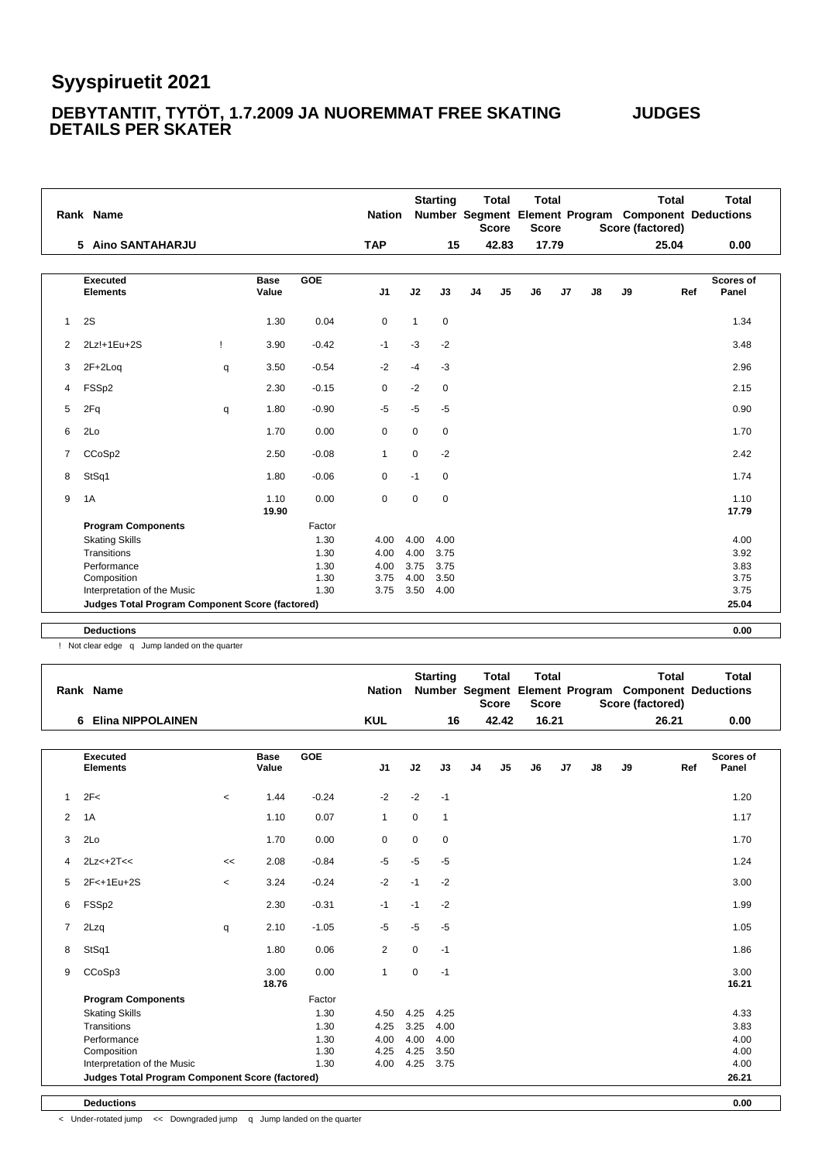#### **DEBYTANTIT, TYTÖT, 1.7.2009 JA NUOREMMAT FREE SKATING JUDGES DETAILS PER SKATER**

|              | Rank Name                                       |   |                      |         | <b>Nation</b> |              | <b>Starting</b> |                | <b>Total</b><br><b>Score</b> | <b>Total</b><br><b>Score</b> |       |               | <b>Total</b><br>Score (factored) |     | <b>Total</b><br>Number Segment Element Program Component Deductions |
|--------------|-------------------------------------------------|---|----------------------|---------|---------------|--------------|-----------------|----------------|------------------------------|------------------------------|-------|---------------|----------------------------------|-----|---------------------------------------------------------------------|
|              | 5 Aino SANTAHARJU                               |   |                      |         | <b>TAP</b>    |              | 15              |                | 42.83                        |                              | 17.79 |               | 25.04                            |     | 0.00                                                                |
|              | <b>Executed</b><br><b>Elements</b>              |   | <b>Base</b><br>Value | GOE     | J1            | J2           | J3              | J <sub>4</sub> | J <sub>5</sub>               | J6                           | J7    | $\mathsf{J}8$ | J9                               | Ref | Scores of<br>Panel                                                  |
| $\mathbf{1}$ | 2S                                              |   | 1.30                 | 0.04    | $\mathbf 0$   | $\mathbf{1}$ | $\mathbf 0$     |                |                              |                              |       |               |                                  |     | 1.34                                                                |
| 2            | 2Lz!+1Eu+2S                                     | Ţ | 3.90                 | $-0.42$ | $-1$          | $-3$         | $-2$            |                |                              |                              |       |               |                                  |     | 3.48                                                                |
| 3            | $2F+2Log$                                       | q | 3.50                 | $-0.54$ | $-2$          | $-4$         | $-3$            |                |                              |                              |       |               |                                  |     | 2.96                                                                |
| 4            | FSSp2                                           |   | 2.30                 | $-0.15$ | $\mathbf 0$   | $-2$         | $\mathbf 0$     |                |                              |                              |       |               |                                  |     | 2.15                                                                |
| 5            | 2Fq                                             | q | 1.80                 | $-0.90$ | $-5$          | $-5$         | $-5$            |                |                              |                              |       |               |                                  |     | 0.90                                                                |
| 6            | 2Lo                                             |   | 1.70                 | 0.00    | $\mathbf 0$   | 0            | $\mathbf 0$     |                |                              |                              |       |               |                                  |     | 1.70                                                                |
| 7            | CCoSp2                                          |   | 2.50                 | $-0.08$ | $\mathbf{1}$  | 0            | $-2$            |                |                              |                              |       |               |                                  |     | 2.42                                                                |
| 8            | StSq1                                           |   | 1.80                 | $-0.06$ | 0             | $-1$         | 0               |                |                              |                              |       |               |                                  |     | 1.74                                                                |
| 9            | 1A                                              |   | 1.10<br>19.90        | 0.00    | $\mathbf 0$   | $\mathbf 0$  | $\mathbf 0$     |                |                              |                              |       |               |                                  |     | 1.10<br>17.79                                                       |
|              | <b>Program Components</b>                       |   |                      | Factor  |               |              |                 |                |                              |                              |       |               |                                  |     |                                                                     |
|              | <b>Skating Skills</b>                           |   |                      | 1.30    | 4.00          | 4.00         | 4.00            |                |                              |                              |       |               |                                  |     | 4.00                                                                |
|              | Transitions                                     |   |                      | 1.30    | 4.00          | 4.00         | 3.75            |                |                              |                              |       |               |                                  |     | 3.92                                                                |
|              | Performance                                     |   |                      | 1.30    | 4.00          | 3.75         | 3.75            |                |                              |                              |       |               |                                  |     | 3.83                                                                |
|              | Composition                                     |   |                      | 1.30    | 3.75          | 4.00         | 3.50            |                |                              |                              |       |               |                                  |     | 3.75                                                                |
|              | Interpretation of the Music                     |   |                      | 1.30    | 3.75          | 3.50         | 4.00            |                |                              |                              |       |               |                                  |     | 3.75                                                                |
|              | Judges Total Program Component Score (factored) |   |                      |         |               |              |                 |                |                              |                              |       |               |                                  |     | 25.04                                                               |
|              | <b>Deductions</b>                               |   |                      |         |               |              |                 |                |                              |                              |       |               |                                  |     | 0.00                                                                |

! Not clear edge q Jump landed on the quarter

|              | Rank Name                                       |         |                      |            | <b>Nation</b>  |             | <b>Starting</b> |                | <b>Total</b><br><b>Score</b> | <b>Total</b><br><b>Score</b> |          | <b>Total</b><br>Number Segment Element Program Component Deductions<br>Score (factored) | <b>Total</b>                     |
|--------------|-------------------------------------------------|---------|----------------------|------------|----------------|-------------|-----------------|----------------|------------------------------|------------------------------|----------|-----------------------------------------------------------------------------------------|----------------------------------|
|              | <b>Elina NIPPOLAINEN</b><br>6.                  |         |                      |            | <b>KUL</b>     |             | 16              |                | 42.42                        | 16.21                        |          | 26.21                                                                                   | 0.00                             |
|              | <b>Executed</b><br><b>Elements</b>              |         | <b>Base</b><br>Value | <b>GOE</b> | J <sub>1</sub> | J2          | J3              | J <sub>4</sub> | J5                           | J <sub>6</sub>               | J7<br>J8 | J9                                                                                      | <b>Scores of</b><br>Ref<br>Panel |
| $\mathbf{1}$ | 2F<                                             | $\,<\,$ | 1.44                 | $-0.24$    | $-2$           | $-2$        | $-1$            |                |                              |                              |          |                                                                                         | 1.20                             |
| 2            | 1A                                              |         | 1.10                 | 0.07       | $\mathbf{1}$   | $\mathbf 0$ | $\mathbf{1}$    |                |                              |                              |          |                                                                                         | 1.17                             |
| 3            | 2Lo                                             |         | 1.70                 | 0.00       | 0              | $\mathbf 0$ | $\mathbf 0$     |                |                              |                              |          |                                                                                         | 1.70                             |
| 4            | $2Lz<+2T<<$                                     | <<      | 2.08                 | $-0.84$    | $-5$           | $-5$        | $-5$            |                |                              |                              |          |                                                                                         | 1.24                             |
| 5            | 2F<+1Eu+2S                                      | $\,<\,$ | 3.24                 | $-0.24$    | $-2$           | $-1$        | $-2$            |                |                              |                              |          |                                                                                         | 3.00                             |
| 6            | FSSp2                                           |         | 2.30                 | $-0.31$    | $-1$           | $-1$        | $-2$            |                |                              |                              |          |                                                                                         | 1.99                             |
| 7            | 2Lzq                                            | q       | 2.10                 | $-1.05$    | $-5$           | $-5$        | $-5$            |                |                              |                              |          |                                                                                         | 1.05                             |
| 8            | StSq1                                           |         | 1.80                 | 0.06       | 2              | $\mathbf 0$ | $-1$            |                |                              |                              |          |                                                                                         | 1.86                             |
| 9            | CCoSp3                                          |         | 3.00<br>18.76        | 0.00       | $\mathbf{1}$   | $\mathbf 0$ | $-1$            |                |                              |                              |          |                                                                                         | 3.00<br>16.21                    |
|              | <b>Program Components</b>                       |         |                      | Factor     |                |             |                 |                |                              |                              |          |                                                                                         |                                  |
|              | <b>Skating Skills</b>                           |         |                      | 1.30       | 4.50           | 4.25        | 4.25            |                |                              |                              |          |                                                                                         | 4.33                             |
|              | Transitions                                     |         |                      | 1.30       | 4.25           | 3.25        | 4.00            |                |                              |                              |          |                                                                                         | 3.83                             |
|              | Performance                                     |         |                      | 1.30       | 4.00           | 4.00        | 4.00            |                |                              |                              |          |                                                                                         | 4.00                             |
|              | Composition                                     |         |                      | 1.30       | 4.25           | 4.25        | 3.50            |                |                              |                              |          |                                                                                         | 4.00                             |
|              | Interpretation of the Music                     |         |                      | 1.30       | 4.00           | 4.25        | 3.75            |                |                              |                              |          |                                                                                         | 4.00                             |
|              | Judges Total Program Component Score (factored) |         |                      |            |                |             |                 |                |                              |                              |          |                                                                                         | 26.21                            |

**Deductions 0.00**

< Under-rotated jump << Downgraded jump q Jump landed on the quarter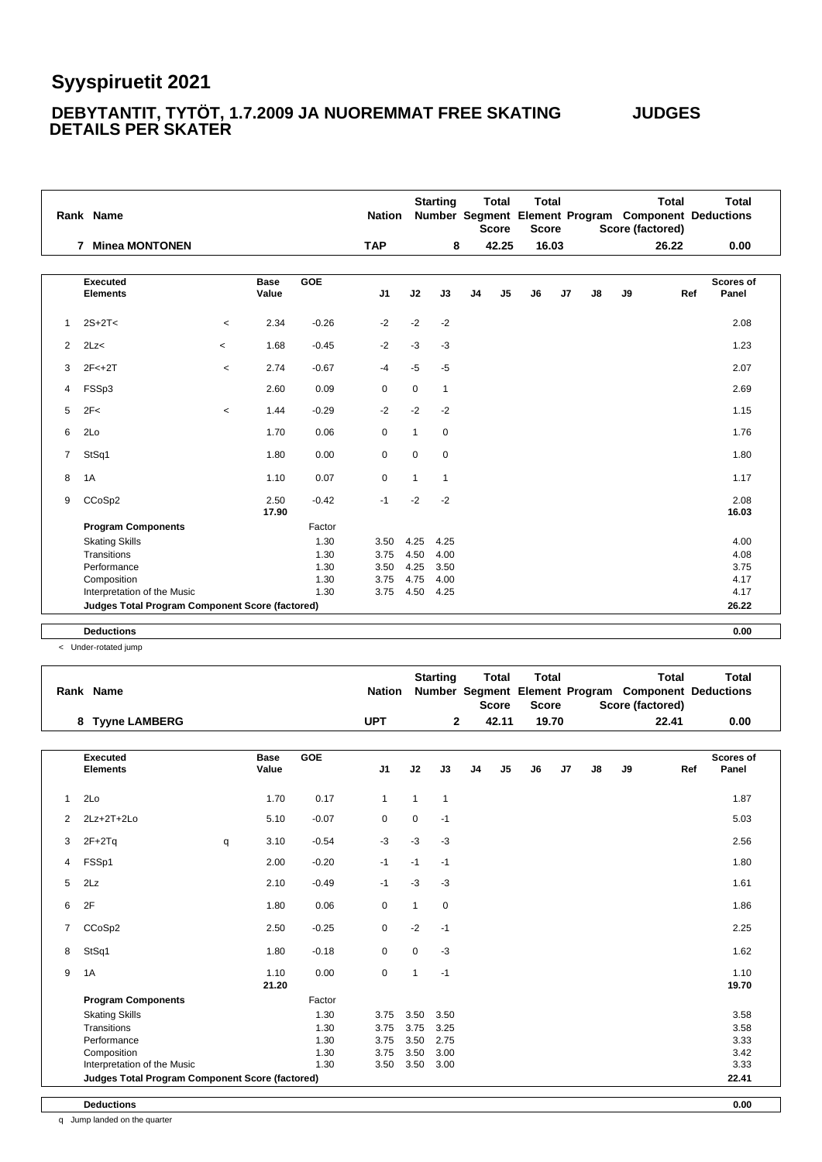#### **DEBYTANTIT, TYTÖT, 1.7.2009 JA NUOREMMAT FREE SKATING JUDGES DETAILS PER SKATER**

|                | Rank Name                                       |                          |                      |         | <b>Nation</b>  |              | <b>Starting</b> |                | <b>Total</b><br><b>Score</b> | <b>Total</b><br><b>Score</b> |       |    |    | <b>Total</b><br>Number Segment Element Program Component Deductions<br>Score (factored) | <b>Total</b>       |  |
|----------------|-------------------------------------------------|--------------------------|----------------------|---------|----------------|--------------|-----------------|----------------|------------------------------|------------------------------|-------|----|----|-----------------------------------------------------------------------------------------|--------------------|--|
|                | <b>Minea MONTONEN</b><br>$\mathbf{7}$           |                          |                      |         | <b>TAP</b>     |              | 8               |                | 42.25                        |                              | 16.03 |    |    | 26.22                                                                                   | 0.00               |  |
|                | <b>Executed</b><br><b>Elements</b>              |                          | <b>Base</b><br>Value | GOE     | J <sub>1</sub> | J2           | J3              | J <sub>4</sub> | J <sub>5</sub>               | J6                           | J7    | J8 | J9 | Ref                                                                                     | Scores of<br>Panel |  |
| $\mathbf{1}$   | $2S+2T<$                                        | $\prec$                  | 2.34                 | $-0.26$ | $-2$           | $-2$         | $-2$            |                |                              |                              |       |    |    |                                                                                         | 2.08               |  |
| $\overline{2}$ | 2Lz<                                            | $\overline{\phantom{a}}$ | 1.68                 | $-0.45$ | $-2$           | $-3$         | $-3$            |                |                              |                              |       |    |    |                                                                                         | 1.23               |  |
| 3              | $2F<+2T$                                        | $\overline{\phantom{a}}$ | 2.74                 | $-0.67$ | $-4$           | $-5$         | $-5$            |                |                              |                              |       |    |    |                                                                                         | 2.07               |  |
| 4              | FSSp3                                           |                          | 2.60                 | 0.09    | 0              | $\mathbf 0$  | $\mathbf{1}$    |                |                              |                              |       |    |    |                                                                                         | 2.69               |  |
| 5              | 2F<                                             | $\prec$                  | 1.44                 | $-0.29$ | $-2$           | $-2$         | $-2$            |                |                              |                              |       |    |    |                                                                                         | 1.15               |  |
| 6              | 2Lo                                             |                          | 1.70                 | 0.06    | 0              | $\mathbf{1}$ | $\mathbf 0$     |                |                              |                              |       |    |    |                                                                                         | 1.76               |  |
| $\overline{7}$ | StSq1                                           |                          | 1.80                 | 0.00    | 0              | 0            | 0               |                |                              |                              |       |    |    |                                                                                         | 1.80               |  |
| 8              | 1A                                              |                          | 1.10                 | 0.07    | 0              | $\mathbf{1}$ | $\mathbf{1}$    |                |                              |                              |       |    |    |                                                                                         | 1.17               |  |
| 9              | CCoSp2                                          |                          | 2.50<br>17.90        | $-0.42$ | $-1$           | $-2$         | $-2$            |                |                              |                              |       |    |    |                                                                                         | 2.08<br>16.03      |  |
|                | <b>Program Components</b>                       |                          |                      | Factor  |                |              |                 |                |                              |                              |       |    |    |                                                                                         |                    |  |
|                | <b>Skating Skills</b>                           |                          |                      | 1.30    | 3.50           | 4.25         | 4.25            |                |                              |                              |       |    |    |                                                                                         | 4.00               |  |
|                | Transitions                                     |                          |                      | 1.30    | 3.75           | 4.50         | 4.00            |                |                              |                              |       |    |    |                                                                                         | 4.08               |  |
|                | Performance                                     |                          |                      | 1.30    | 3.50           | 4.25         | 3.50            |                |                              |                              |       |    |    |                                                                                         | 3.75               |  |
|                | Composition                                     |                          |                      | 1.30    | 3.75           | 4.75         | 4.00            |                |                              |                              |       |    |    |                                                                                         | 4.17               |  |
|                | Interpretation of the Music                     |                          |                      | 1.30    | 3.75           | 4.50         | 4.25            |                |                              |                              |       |    |    |                                                                                         | 4.17               |  |
|                | Judges Total Program Component Score (factored) |                          |                      |         |                |              |                 |                |                              |                              |       |    |    |                                                                                         | 26.22              |  |
|                | <b>Deductions</b>                               |                          |                      |         |                |              |                 |                |                              |                              |       |    |    |                                                                                         | 0.00               |  |
|                |                                                 |                          |                      |         |                |              |                 |                |                              |                              |       |    |    |                                                                                         |                    |  |

< Under-rotated jump

|                | Rank Name                                       |   |                      |            | <b>Nation</b> |              | <b>Starting</b> |    | Total<br><b>Score</b> | <b>Total</b><br><b>Score</b> |    |    |    | Total<br>Score (factored) | <b>Total</b><br>Number Segment Element Program Component Deductions |
|----------------|-------------------------------------------------|---|----------------------|------------|---------------|--------------|-----------------|----|-----------------------|------------------------------|----|----|----|---------------------------|---------------------------------------------------------------------|
|                | <b>Tyyne LAMBERG</b><br>8                       |   |                      |            | <b>UPT</b>    |              | $\mathbf{2}$    |    | 42.11                 | 19.70                        |    |    |    | 22.41                     | 0.00                                                                |
|                | <b>Executed</b><br><b>Elements</b>              |   | <b>Base</b><br>Value | <b>GOE</b> | J1            | J2           | J3              | J4 | J5                    | J6                           | J7 | J8 | J9 | Ref                       | <b>Scores of</b><br>Panel                                           |
| $\mathbf{1}$   | 2Lo                                             |   | 1.70                 | 0.17       | $\mathbf{1}$  | $\mathbf{1}$ | $\mathbf{1}$    |    |                       |                              |    |    |    |                           | 1.87                                                                |
| 2              | $2Lz + 2T + 2Lo$                                |   | 5.10                 | $-0.07$    | $\mathbf 0$   | $\mathbf 0$  | $-1$            |    |                       |                              |    |    |    |                           | 5.03                                                                |
| 3              | $2F+2Tq$                                        | q | 3.10                 | $-0.54$    | $-3$          | $-3$         | $-3$            |    |                       |                              |    |    |    |                           | 2.56                                                                |
| 4              | FSSp1                                           |   | 2.00                 | $-0.20$    | $-1$          | $-1$         | $-1$            |    |                       |                              |    |    |    |                           | 1.80                                                                |
| 5              | 2Lz                                             |   | 2.10                 | $-0.49$    | $-1$          | $-3$         | $-3$            |    |                       |                              |    |    |    |                           | 1.61                                                                |
| 6              | 2F                                              |   | 1.80                 | 0.06       | $\mathbf 0$   | $\mathbf{1}$ | $\mathbf 0$     |    |                       |                              |    |    |    |                           | 1.86                                                                |
| $\overline{7}$ | CCoSp2                                          |   | 2.50                 | $-0.25$    | $\mathbf 0$   | $-2$         | $-1$            |    |                       |                              |    |    |    |                           | 2.25                                                                |
| 8              | StSq1                                           |   | 1.80                 | $-0.18$    | $\mathbf 0$   | 0            | $-3$            |    |                       |                              |    |    |    |                           | 1.62                                                                |
| 9              | 1A                                              |   | 1.10<br>21.20        | 0.00       | $\mathbf 0$   | $\mathbf{1}$ | $-1$            |    |                       |                              |    |    |    |                           | 1.10<br>19.70                                                       |
|                | <b>Program Components</b>                       |   |                      | Factor     |               |              |                 |    |                       |                              |    |    |    |                           |                                                                     |
|                | <b>Skating Skills</b>                           |   |                      | 1.30       | 3.75          | 3.50         | 3.50            |    |                       |                              |    |    |    |                           | 3.58                                                                |
|                | Transitions                                     |   |                      | 1.30       | 3.75          | 3.75         | 3.25            |    |                       |                              |    |    |    |                           | 3.58                                                                |
|                | Performance                                     |   |                      | 1.30       | 3.75          | 3.50         | 2.75            |    |                       |                              |    |    |    |                           | 3.33                                                                |
|                | Composition                                     |   |                      | 1.30       | 3.75          | 3.50         | 3.00            |    |                       |                              |    |    |    |                           | 3.42                                                                |
|                | Interpretation of the Music                     |   |                      | 1.30       | 3.50          | 3.50         | 3.00            |    |                       |                              |    |    |    |                           | 3.33                                                                |
|                | Judges Total Program Component Score (factored) |   |                      |            |               |              |                 |    |                       |                              |    |    |    |                           | 22.41                                                               |

**Deductions 0.00**

q Jump landed on the quarter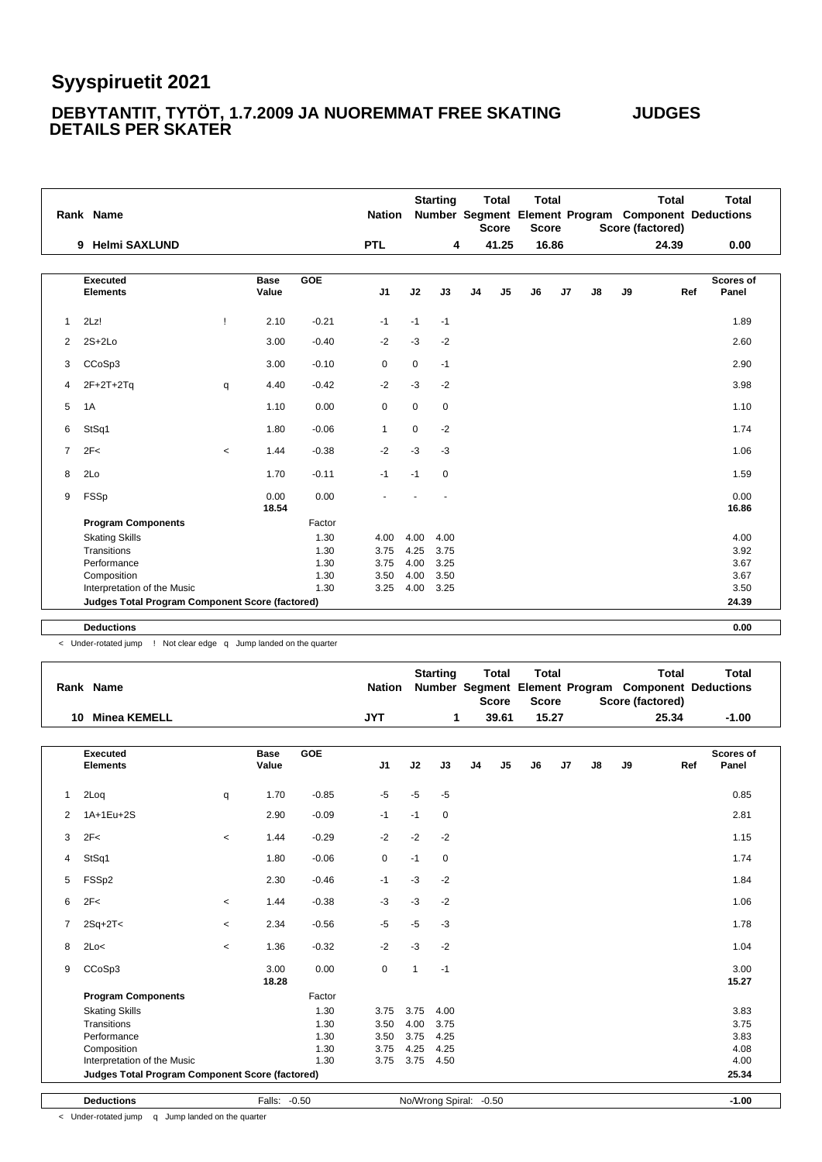#### **DEBYTANTIT, TYTÖT, 1.7.2009 JA NUOREMMAT FREE SKATING JUDGES DETAILS PER SKATER**

|                       | Rank Name                                              |         |                      |         | <b>Nation</b>  |             | <b>Starting</b> |                | <b>Total</b><br><b>Score</b> | <b>Total</b><br><b>Score</b> |       |               |    | <b>Total</b><br>Number Segment Element Program Component Deductions<br>Score (factored) | <b>Total</b>       |
|-----------------------|--------------------------------------------------------|---------|----------------------|---------|----------------|-------------|-----------------|----------------|------------------------------|------------------------------|-------|---------------|----|-----------------------------------------------------------------------------------------|--------------------|
|                       | <b>Helmi SAXLUND</b><br>9                              |         |                      |         | <b>PTL</b>     |             | 4               |                | 41.25                        |                              | 16.86 |               |    | 24.39                                                                                   | 0.00               |
|                       | <b>Executed</b><br><b>Elements</b>                     |         | <b>Base</b><br>Value | GOE     | J <sub>1</sub> | J2          | J3              | J <sub>4</sub> | J5                           | J6                           | J7    | $\mathsf{J}8$ | J9 | Ref                                                                                     | Scores of<br>Panel |
| $\mathbf{1}$          | 2Lz!                                                   | Ţ       | 2.10                 | $-0.21$ | $-1$           | $-1$        | $-1$            |                |                              |                              |       |               |    |                                                                                         | 1.89               |
| $\mathbf{2}^{\prime}$ | $2S+2Lo$                                               |         | 3.00                 | $-0.40$ | $-2$           | $-3$        | $-2$            |                |                              |                              |       |               |    |                                                                                         | 2.60               |
| 3                     | CCoSp3                                                 |         | 3.00                 | $-0.10$ | 0              | $\mathbf 0$ | $-1$            |                |                              |                              |       |               |    |                                                                                         | 2.90               |
| 4                     | $2F+2T+2Tq$                                            | q       | 4.40                 | $-0.42$ | $-2$           | $-3$        | $-2$            |                |                              |                              |       |               |    |                                                                                         | 3.98               |
| 5                     | 1A                                                     |         | 1.10                 | 0.00    | $\mathbf 0$    | $\mathbf 0$ | $\mathbf 0$     |                |                              |                              |       |               |    |                                                                                         | 1.10               |
| 6                     | StSq1                                                  |         | 1.80                 | $-0.06$ | $\mathbf{1}$   | $\mathbf 0$ | $-2$            |                |                              |                              |       |               |    |                                                                                         | 1.74               |
| $\overline{7}$        | 2F<                                                    | $\prec$ | 1.44                 | $-0.38$ | $-2$           | $-3$        | $-3$            |                |                              |                              |       |               |    |                                                                                         | 1.06               |
| 8                     | 2Lo                                                    |         | 1.70                 | $-0.11$ | $-1$           | $-1$        | 0               |                |                              |                              |       |               |    |                                                                                         | 1.59               |
| 9                     | FSSp                                                   |         | 0.00<br>18.54        | 0.00    |                |             |                 |                |                              |                              |       |               |    |                                                                                         | 0.00<br>16.86      |
|                       | <b>Program Components</b>                              |         |                      | Factor  |                |             |                 |                |                              |                              |       |               |    |                                                                                         |                    |
|                       | <b>Skating Skills</b>                                  |         |                      | 1.30    | 4.00           | 4.00        | 4.00            |                |                              |                              |       |               |    |                                                                                         | 4.00               |
|                       | Transitions                                            |         |                      | 1.30    | 3.75           | 4.25        | 3.75            |                |                              |                              |       |               |    |                                                                                         | 3.92               |
|                       | Performance                                            |         |                      | 1.30    | 3.75           | 4.00        | 3.25            |                |                              |                              |       |               |    |                                                                                         | 3.67               |
|                       | Composition                                            |         |                      | 1.30    | 3.50           | 4.00        | 3.50            |                |                              |                              |       |               |    |                                                                                         | 3.67               |
|                       | Interpretation of the Music                            |         |                      | 1.30    | 3.25           | 4.00        | 3.25            |                |                              |                              |       |               |    |                                                                                         | 3.50               |
|                       | <b>Judges Total Program Component Score (factored)</b> |         |                      |         |                |             |                 |                |                              |                              |       |               |    |                                                                                         | 24.39              |
|                       | <b>Deductions</b>                                      |         |                      |         |                |             |                 |                |                              |                              |       |               |    |                                                                                         | 0.00               |
|                       |                                                        |         |                      |         |                |             |                 |                |                              |                              |       |               |    |                                                                                         |                    |

< Under-rotated jump ! Not clear edge q Jump landed on the quarter

|              | Rank Name                                       |                          |                      |            | <b>Nation</b> |                | <b>Starting</b>         |                | <b>Total</b><br><b>Score</b> | <b>Total</b><br><b>Score</b> |                     |    | <b>Total</b><br>Score (factored) | <b>Total</b><br>Number Segment Element Program Component Deductions |
|--------------|-------------------------------------------------|--------------------------|----------------------|------------|---------------|----------------|-------------------------|----------------|------------------------------|------------------------------|---------------------|----|----------------------------------|---------------------------------------------------------------------|
|              | 10 Minea KEMELL                                 |                          |                      |            | <b>JYT</b>    |                | 1                       |                | 39.61                        | 15.27                        |                     |    | 25.34                            | $-1.00$                                                             |
|              | <b>Executed</b><br><b>Elements</b>              |                          | <b>Base</b><br>Value | <b>GOE</b> | J1            | J2             | J3                      | J <sub>4</sub> | J <sub>5</sub>               | J6                           | J7<br>$\mathsf{J}8$ | J9 | Ref                              | <b>Scores of</b><br>Panel                                           |
| $\mathbf{1}$ | 2Loq                                            | q                        | 1.70                 | $-0.85$    | $-5$          | $-5$           | $-5$                    |                |                              |                              |                     |    |                                  | 0.85                                                                |
| 2            | 1A+1Eu+2S                                       |                          | 2.90                 | $-0.09$    | $-1$          | $-1$           | $\mathbf 0$             |                |                              |                              |                     |    |                                  | 2.81                                                                |
| 3            | 2F<                                             | $\,<\,$                  | 1.44                 | $-0.29$    | $-2$          | $-2$           | $-2$                    |                |                              |                              |                     |    |                                  | 1.15                                                                |
| 4            | StSq1                                           |                          | 1.80                 | $-0.06$    | 0             | $-1$           | $\mathbf 0$             |                |                              |                              |                     |    |                                  | 1.74                                                                |
| 5            | FSSp2                                           |                          | 2.30                 | $-0.46$    | $-1$          | $-3$           | $-2$                    |                |                              |                              |                     |    |                                  | 1.84                                                                |
| 6            | 2F<                                             | $\,<$                    | 1.44                 | $-0.38$    | $-3$          | $-3$           | $-2$                    |                |                              |                              |                     |    |                                  | 1.06                                                                |
| 7            | $2Sq+2T2$                                       | $\overline{\phantom{a}}$ | 2.34                 | $-0.56$    | $-5$          | $-5$           | $-3$                    |                |                              |                              |                     |    |                                  | 1.78                                                                |
| 8            | 2Lo<                                            | $\,<$                    | 1.36                 | $-0.32$    | $-2$          | $-3$           | $-2$                    |                |                              |                              |                     |    |                                  | 1.04                                                                |
| 9            | CCoSp3                                          |                          | 3.00<br>18.28        | 0.00       | 0             | $\overline{1}$ | $-1$                    |                |                              |                              |                     |    |                                  | 3.00<br>15.27                                                       |
|              | <b>Program Components</b>                       |                          |                      | Factor     |               |                |                         |                |                              |                              |                     |    |                                  |                                                                     |
|              | <b>Skating Skills</b>                           |                          |                      | 1.30       | 3.75          | 3.75           | 4.00                    |                |                              |                              |                     |    |                                  | 3.83                                                                |
|              | Transitions                                     |                          |                      | 1.30       | 3.50          | 4.00           | 3.75                    |                |                              |                              |                     |    |                                  | 3.75                                                                |
|              | Performance                                     |                          |                      | 1.30       | 3.50          | 3.75           | 4.25                    |                |                              |                              |                     |    |                                  | 3.83                                                                |
|              | Composition                                     |                          |                      | 1.30       | 3.75          | 4.25           | 4.25                    |                |                              |                              |                     |    |                                  | 4.08                                                                |
|              | Interpretation of the Music                     |                          |                      | 1.30       | 3.75          | 3.75           | 4.50                    |                |                              |                              |                     |    |                                  | 4.00                                                                |
|              | Judges Total Program Component Score (factored) |                          |                      |            |               |                |                         |                |                              |                              |                     |    |                                  | 25.34                                                               |
|              | <b>Deductions</b>                               |                          | Falls: -0.50         |            |               |                | No/Wrong Spiral: - 0.50 |                |                              |                              |                     |    |                                  | $-1.00$                                                             |

< Under-rotated jump q Jump landed on the quarter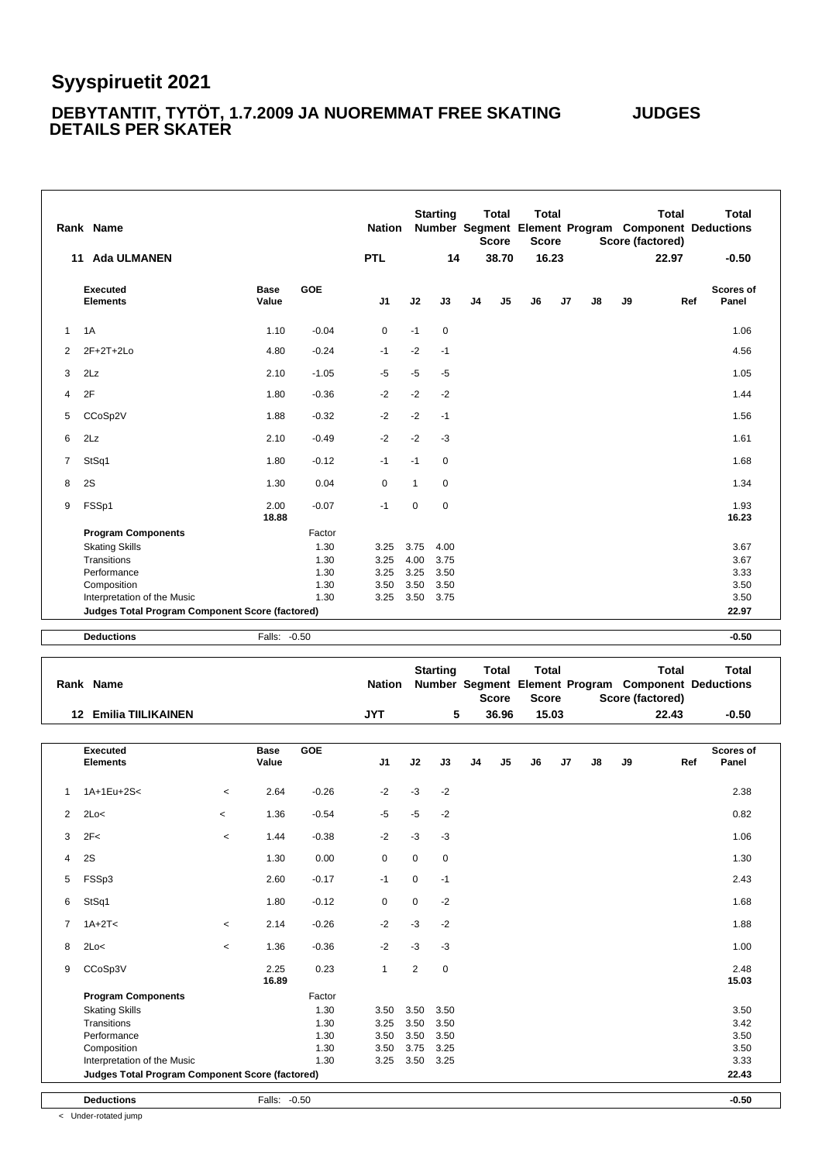#### **DEBYTANTIT, TYTÖT, 1.7.2009 JA NUOREMMAT FREE SKATING JUDGES DETAILS PER SKATER**

|              | Rank Name                                       |               |         | <b>Nation</b>  |              | <b>Starting</b> |                | <b>Total</b><br><b>Score</b> | <b>Total</b><br><b>Score</b> |    |               |    | <b>Total</b><br>Score (factored) | <b>Total</b><br>Number Segment Element Program Component Deductions |
|--------------|-------------------------------------------------|---------------|---------|----------------|--------------|-----------------|----------------|------------------------------|------------------------------|----|---------------|----|----------------------------------|---------------------------------------------------------------------|
|              | <b>Ada ULMANEN</b><br>11                        |               |         | <b>PTL</b>     |              | 14              |                | 38.70                        | 16.23                        |    |               |    | 22.97                            | $-0.50$                                                             |
|              | Executed<br><b>Elements</b>                     | Base<br>Value | GOE     | J <sub>1</sub> | J2           | J3              | J <sub>4</sub> | J <sub>5</sub>               | J <sub>6</sub>               | J7 | $\mathsf{J}8$ | J9 | Ref                              | Scores of<br>Panel                                                  |
| $\mathbf{1}$ | 1A                                              | 1.10          | $-0.04$ | 0              | $-1$         | $\pmb{0}$       |                |                              |                              |    |               |    |                                  | 1.06                                                                |
| 2            | 2F+2T+2Lo                                       | 4.80          | $-0.24$ | $-1$           | $-2$         | $-1$            |                |                              |                              |    |               |    |                                  | 4.56                                                                |
| 3            | 2Lz                                             | 2.10          | $-1.05$ | $-5$           | $-5$         | $-5$            |                |                              |                              |    |               |    |                                  | 1.05                                                                |
| 4            | 2F                                              | 1.80          | $-0.36$ | $-2$           | $-2$         | $-2$            |                |                              |                              |    |               |    |                                  | 1.44                                                                |
| 5            | CCoSp2V                                         | 1.88          | $-0.32$ | $-2$           | $-2$         | $-1$            |                |                              |                              |    |               |    |                                  | 1.56                                                                |
| 6            | 2Lz                                             | 2.10          | $-0.49$ | $-2$           | $-2$         | $-3$            |                |                              |                              |    |               |    |                                  | 1.61                                                                |
| 7            | StSq1                                           | 1.80          | $-0.12$ | $-1$           | $-1$         | $\mathbf 0$     |                |                              |                              |    |               |    |                                  | 1.68                                                                |
| 8            | 2S                                              | 1.30          | 0.04    | 0              | $\mathbf{1}$ | 0               |                |                              |                              |    |               |    |                                  | 1.34                                                                |
| 9            | FSSp1                                           | 2.00<br>18.88 | $-0.07$ | $-1$           | $\mathbf 0$  | $\mathbf 0$     |                |                              |                              |    |               |    |                                  | 1.93<br>16.23                                                       |
|              | <b>Program Components</b>                       |               | Factor  |                |              |                 |                |                              |                              |    |               |    |                                  |                                                                     |
|              | <b>Skating Skills</b>                           |               | 1.30    | 3.25           | 3.75         | 4.00            |                |                              |                              |    |               |    |                                  | 3.67                                                                |
|              | Transitions                                     |               | 1.30    | 3.25           | 4.00         | 3.75            |                |                              |                              |    |               |    |                                  | 3.67                                                                |
|              | Performance                                     |               | 1.30    | 3.25           | 3.25         | 3.50            |                |                              |                              |    |               |    |                                  | 3.33                                                                |
|              | Composition                                     |               | 1.30    | 3.50           | 3.50         | 3.50            |                |                              |                              |    |               |    |                                  | 3.50                                                                |
|              | Interpretation of the Music                     |               | 1.30    | 3.25           | 3.50         | 3.75            |                |                              |                              |    |               |    |                                  | 3.50                                                                |
|              | Judges Total Program Component Score (factored) |               |         |                |              |                 |                |                              |                              |    |               |    |                                  | 22.97                                                               |
|              |                                                 |               |         |                |              |                 |                |                              |                              |    |               |    |                                  |                                                                     |

**Deductions** Falls: -0.50 **-0.50**

|                | Rank Name                                       |                          |                      |            | <b>Nation</b> |                | <b>Starting</b> |    | <b>Total</b><br><b>Score</b> | <b>Total</b><br><b>Score</b> |    |               |    | <b>Total</b><br>Number Segment Element Program Component Deductions<br>Score (factored) | <b>Total</b>       |
|----------------|-------------------------------------------------|--------------------------|----------------------|------------|---------------|----------------|-----------------|----|------------------------------|------------------------------|----|---------------|----|-----------------------------------------------------------------------------------------|--------------------|
|                | <b>12 Emilia TIILIKAINEN</b>                    |                          |                      |            | <b>JYT</b>    |                | 5               |    | 36.96                        | 15.03                        |    |               |    | 22.43                                                                                   | $-0.50$            |
|                | <b>Executed</b><br><b>Elements</b>              |                          | <b>Base</b><br>Value | <b>GOE</b> | J1            | J2             | J3              | J4 | J5                           | J6                           | J7 | $\mathsf{J}8$ | J9 | Ref                                                                                     | Scores of<br>Panel |
| 1              | 1A+1Eu+2S<                                      | $\overline{\phantom{a}}$ | 2.64                 | $-0.26$    | $-2$          | $-3$           | $-2$            |    |                              |                              |    |               |    |                                                                                         | 2.38               |
| 2              | 2Lo<                                            | $\overline{\phantom{a}}$ | 1.36                 | $-0.54$    | -5            | $-5$           | $-2$            |    |                              |                              |    |               |    |                                                                                         | 0.82               |
| 3              | 2F<                                             | $\,<$                    | 1.44                 | $-0.38$    | $-2$          | $-3$           | $-3$            |    |                              |                              |    |               |    |                                                                                         | 1.06               |
| 4              | 2S                                              |                          | 1.30                 | 0.00       | 0             | $\mathbf 0$    | $\mathbf 0$     |    |                              |                              |    |               |    |                                                                                         | 1.30               |
| 5              | FSSp3                                           |                          | 2.60                 | $-0.17$    | $-1$          | $\mathbf 0$    | $-1$            |    |                              |                              |    |               |    |                                                                                         | 2.43               |
| 6              | StSq1                                           |                          | 1.80                 | $-0.12$    | 0             | $\mathbf 0$    | $-2$            |    |                              |                              |    |               |    |                                                                                         | 1.68               |
| $\overline{7}$ | $1A+2T5$                                        | $\,<$                    | 2.14                 | $-0.26$    | $-2$          | $-3$           | $-2$            |    |                              |                              |    |               |    |                                                                                         | 1.88               |
| 8              | 2Lo<                                            | $\overline{\phantom{a}}$ | 1.36                 | $-0.36$    | $-2$          | $-3$           | $-3$            |    |                              |                              |    |               |    |                                                                                         | 1.00               |
| 9              | CCoSp3V                                         |                          | 2.25<br>16.89        | 0.23       | $\mathbf{1}$  | $\overline{2}$ | 0               |    |                              |                              |    |               |    |                                                                                         | 2.48<br>15.03      |
|                | <b>Program Components</b>                       |                          |                      | Factor     |               |                |                 |    |                              |                              |    |               |    |                                                                                         |                    |
|                | <b>Skating Skills</b>                           |                          |                      | 1.30       | 3.50          | 3.50           | 3.50            |    |                              |                              |    |               |    |                                                                                         | 3.50               |
|                | Transitions                                     |                          |                      | 1.30       | 3.25          | 3.50           | 3.50            |    |                              |                              |    |               |    |                                                                                         | 3.42               |
|                | Performance                                     |                          |                      | 1.30       | 3.50          | 3.50           | 3.50            |    |                              |                              |    |               |    |                                                                                         | 3.50               |
|                | Composition                                     |                          |                      | 1.30       | 3.50          | 3.75           | 3.25            |    |                              |                              |    |               |    |                                                                                         | 3.50               |
|                | Interpretation of the Music                     |                          |                      | 1.30       | 3.25          | 3.50           | 3.25            |    |                              |                              |    |               |    |                                                                                         | 3.33               |
|                | Judges Total Program Component Score (factored) |                          |                      |            |               |                |                 |    |                              |                              |    |               |    |                                                                                         | 22.43              |
|                | <b>Deductions</b>                               |                          | Falls: -0.50         |            |               |                |                 |    |                              |                              |    |               |    |                                                                                         | $-0.50$            |

< Under-rotated jump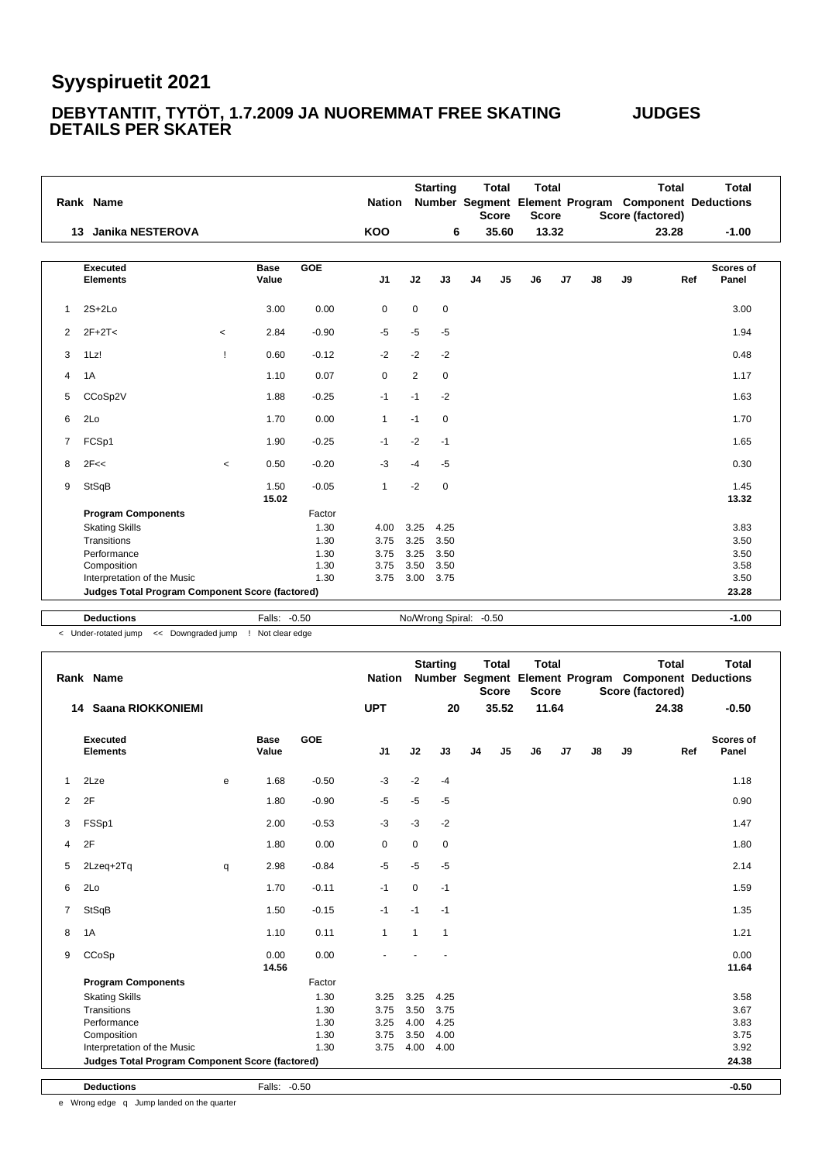#### **DEBYTANTIT, TYTÖT, 1.7.2009 JA NUOREMMAT FREE SKATING JUDGES DETAILS PER SKATER**

|              | Rank Name                                       |         |                      |         | <b>Nation</b>  |      | <b>Starting</b>         |                | <b>Total</b><br><b>Score</b> | <b>Total</b><br><b>Score</b> |                |    |    | <b>Total</b><br>Score (factored) | <b>Total</b><br>Number Segment Element Program Component Deductions |
|--------------|-------------------------------------------------|---------|----------------------|---------|----------------|------|-------------------------|----------------|------------------------------|------------------------------|----------------|----|----|----------------------------------|---------------------------------------------------------------------|
|              | <b>Janika NESTEROVA</b><br>13                   |         |                      |         | <b>KOO</b>     |      | 6                       |                | 35.60                        |                              | 13.32          |    |    | 23.28                            | $-1.00$                                                             |
|              | <b>Executed</b><br><b>Elements</b>              |         | <b>Base</b><br>Value | GOE     | J <sub>1</sub> | J2   | J3                      | J <sub>4</sub> | J <sub>5</sub>               | J <sub>6</sub>               | J <sub>7</sub> | J8 | J9 | Ref                              | <b>Scores of</b><br>Panel                                           |
|              |                                                 |         |                      |         |                |      |                         |                |                              |                              |                |    |    |                                  |                                                                     |
| $\mathbf{1}$ | $2S+2Lo$                                        |         | 3.00                 | 0.00    | 0              | 0    | $\mathbf 0$             |                |                              |                              |                |    |    |                                  | 3.00                                                                |
| 2            | $2F+2T<$                                        | $\,<$   | 2.84                 | $-0.90$ | $-5$           | $-5$ | $-5$                    |                |                              |                              |                |    |    |                                  | 1.94                                                                |
| 3            | 1Lz!                                            | -1      | 0.60                 | $-0.12$ | $-2$           | $-2$ | $-2$                    |                |                              |                              |                |    |    |                                  | 0.48                                                                |
| 4            | 1A                                              |         | 1.10                 | 0.07    | 0              | 2    | $\mathbf 0$             |                |                              |                              |                |    |    |                                  | 1.17                                                                |
| 5            | CCoSp2V                                         |         | 1.88                 | $-0.25$ | $-1$           | $-1$ | $-2$                    |                |                              |                              |                |    |    |                                  | 1.63                                                                |
| 6            | 2Lo                                             |         | 1.70                 | 0.00    | $\mathbf{1}$   | $-1$ | $\mathbf 0$             |                |                              |                              |                |    |    |                                  | 1.70                                                                |
| 7            | FCSp1                                           |         | 1.90                 | $-0.25$ | $-1$           | $-2$ | $-1$                    |                |                              |                              |                |    |    |                                  | 1.65                                                                |
| 8            | 2F<<                                            | $\prec$ | 0.50                 | $-0.20$ | $-3$           | $-4$ | $-5$                    |                |                              |                              |                |    |    |                                  | 0.30                                                                |
| 9            | StSqB                                           |         | 1.50<br>15.02        | $-0.05$ | $\mathbf{1}$   | $-2$ | $\mathbf 0$             |                |                              |                              |                |    |    |                                  | 1.45<br>13.32                                                       |
|              | <b>Program Components</b>                       |         |                      | Factor  |                |      |                         |                |                              |                              |                |    |    |                                  |                                                                     |
|              | <b>Skating Skills</b>                           |         |                      | 1.30    | 4.00           | 3.25 | 4.25                    |                |                              |                              |                |    |    |                                  | 3.83                                                                |
|              | Transitions                                     |         |                      | 1.30    | 3.75           | 3.25 | 3.50                    |                |                              |                              |                |    |    |                                  | 3.50                                                                |
|              | Performance                                     |         |                      | 1.30    | 3.75           | 3.25 | 3.50                    |                |                              |                              |                |    |    |                                  | 3.50                                                                |
|              | Composition                                     |         |                      | 1.30    | 3.75           | 3.50 | 3.50                    |                |                              |                              |                |    |    |                                  | 3.58                                                                |
|              | Interpretation of the Music                     |         |                      | 1.30    | 3.75           | 3.00 | 3.75                    |                |                              |                              |                |    |    |                                  | 3.50                                                                |
|              | Judges Total Program Component Score (factored) |         |                      |         |                |      |                         |                |                              |                              |                |    |    |                                  | 23.28                                                               |
|              | <b>Deductions</b>                               |         | Falls: -0.50         |         |                |      | No/Wrong Spiral: - 0.50 |                |                              |                              |                |    |    |                                  | $-1.00$                                                             |

< Under-rotated jump << Downgraded jump ! Not clear edge

|                | Rank Name                                       |   |                      |            | <b>Nation</b>  |              | <b>Starting</b> |                | <b>Total</b><br><b>Score</b> | <b>Total</b><br><b>Score</b> |       |               |    | <b>Total</b><br>Score (factored) | <b>Total</b><br>Number Segment Element Program Component Deductions |  |
|----------------|-------------------------------------------------|---|----------------------|------------|----------------|--------------|-----------------|----------------|------------------------------|------------------------------|-------|---------------|----|----------------------------------|---------------------------------------------------------------------|--|
| 14             | Saana RIOKKONIEMI                               |   |                      |            | <b>UPT</b>     |              | 20              |                | 35.52                        |                              | 11.64 |               |    | 24.38                            | $-0.50$                                                             |  |
|                | <b>Executed</b><br><b>Elements</b>              |   | <b>Base</b><br>Value | <b>GOE</b> | J <sub>1</sub> | J2           | J3              | J <sub>4</sub> | J <sub>5</sub>               | J6                           | J7    | $\mathsf{J}8$ | J9 | Ref                              | <b>Scores of</b><br>Panel                                           |  |
| $\mathbf{1}$   | 2Lze                                            | e | 1.68                 | $-0.50$    | $-3$           | $-2$         | $-4$            |                |                              |                              |       |               |    |                                  | 1.18                                                                |  |
| 2              | 2F                                              |   | 1.80                 | $-0.90$    | $-5$           | $-5$         | $-5$            |                |                              |                              |       |               |    |                                  | 0.90                                                                |  |
| 3              | FSSp1                                           |   | 2.00                 | $-0.53$    | $-3$           | $-3$         | $-2$            |                |                              |                              |       |               |    |                                  | 1.47                                                                |  |
| 4              | 2F                                              |   | 1.80                 | 0.00       | 0              | $\mathbf 0$  | 0               |                |                              |                              |       |               |    |                                  | 1.80                                                                |  |
| 5              | 2Lzeq+2Tq                                       | q | 2.98                 | $-0.84$    | $-5$           | $-5$         | $-5$            |                |                              |                              |       |               |    |                                  | 2.14                                                                |  |
| 6              | 2Lo                                             |   | 1.70                 | $-0.11$    | $-1$           | $\mathbf 0$  | $-1$            |                |                              |                              |       |               |    |                                  | 1.59                                                                |  |
| $\overline{7}$ | StSqB                                           |   | 1.50                 | $-0.15$    | $-1$           | $-1$         | $-1$            |                |                              |                              |       |               |    |                                  | 1.35                                                                |  |
| 8              | 1A                                              |   | 1.10                 | 0.11       | $\mathbf{1}$   | $\mathbf{1}$ | $\mathbf{1}$    |                |                              |                              |       |               |    |                                  | 1.21                                                                |  |
| 9              | CCoSp                                           |   | 0.00<br>14.56        | 0.00       |                |              |                 |                |                              |                              |       |               |    |                                  | 0.00<br>11.64                                                       |  |
|                | <b>Program Components</b>                       |   |                      | Factor     |                |              |                 |                |                              |                              |       |               |    |                                  |                                                                     |  |
|                | <b>Skating Skills</b>                           |   |                      | 1.30       | 3.25           | 3.25         | 4.25            |                |                              |                              |       |               |    |                                  | 3.58                                                                |  |
|                | Transitions                                     |   |                      | 1.30       | 3.75           | 3.50         | 3.75            |                |                              |                              |       |               |    |                                  | 3.67                                                                |  |
|                | Performance                                     |   |                      | 1.30       | 3.25           | 4.00         | 4.25            |                |                              |                              |       |               |    |                                  | 3.83                                                                |  |
|                | Composition                                     |   |                      | 1.30       | 3.75           | 3.50         | 4.00            |                |                              |                              |       |               |    |                                  | 3.75                                                                |  |
|                | Interpretation of the Music                     |   |                      | 1.30       | 3.75           | 4.00         | 4.00            |                |                              |                              |       |               |    |                                  | 3.92                                                                |  |
|                | Judges Total Program Component Score (factored) |   |                      |            |                |              |                 |                |                              |                              |       |               |    |                                  | 24.38                                                               |  |
|                | <b>Deductions</b>                               |   | Falls: -0.50         |            |                |              |                 |                |                              |                              |       |               |    |                                  | $-0.50$                                                             |  |

e Wrong edge q Jump landed on the quarter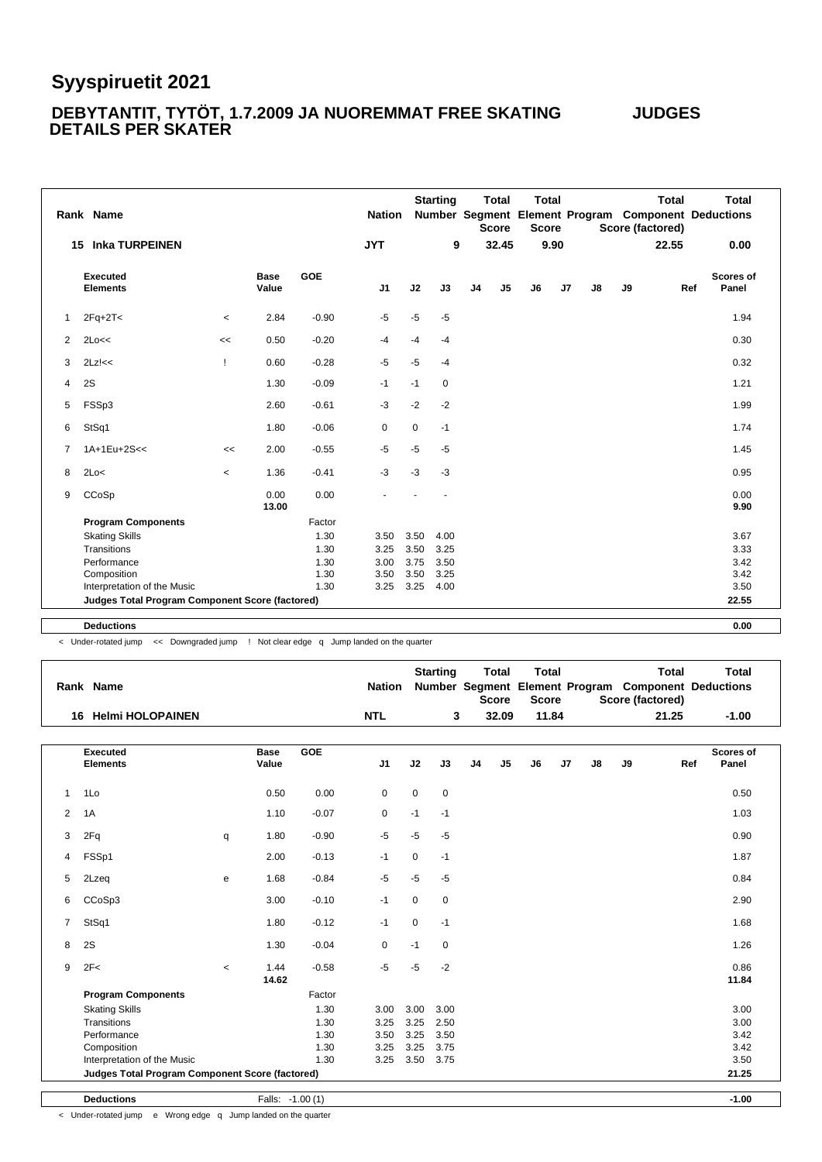#### **DEBYTANTIT, TYTÖT, 1.7.2009 JA NUOREMMAT FREE SKATING JUDGES DETAILS PER SKATER**

| <b>JYT</b><br>9<br>32.45<br>9.90<br><b>Inka TURPEINEN</b><br>22.55<br>0.00<br>15<br>GOE<br><b>Executed</b><br>Base<br><b>Scores of</b><br>J2<br>J3<br>J <sub>4</sub><br>J <sub>5</sub><br><b>Elements</b><br>Value<br>J <sub>1</sub><br>J <sub>6</sub><br>J7<br>J8<br>J9<br>Panel<br>Ref<br>$-5$<br>$-5$<br>$2Fq+2T<$<br>2.84<br>$-0.90$<br>$-5$<br>1.94<br>1<br>$\,<\,$<br>$-4$<br>2Lo<<<br>0.50<br>$-0.20$<br>0.30<br>2<br>$-4$<br>$-4$<br><<<br>$-5$<br>$-0.28$<br>$-5$<br>3<br>$2Lz$ <sub>s</sub><br>0.60<br>0.32<br>Ţ<br>$-4$<br>2S<br>1.30<br>$-0.09$<br>$-1$<br>1.21<br>4<br>$-1$<br>0<br>$-2$<br>$-3$<br>$-2$<br>1.99<br>5<br>FSSp3<br>2.60<br>$-0.61$<br>1.80<br>$-0.06$<br>0<br>$\mathbf 0$<br>1.74<br>6<br>StSq1<br>$-1$<br>1A+1Eu+2S<<<br>$-5$<br>$-5$<br>2.00<br>$-0.55$<br>$-5$<br>1.45<br>$\overline{7}$<br><<<br>$-3$<br>1.36<br>$-0.41$<br>$-3$<br>$-3$<br>0.95<br>8<br>2Lo<<br>$\,<\,$<br>0.00<br>CCoSp<br>0.00<br>0.00<br>9<br>13.00<br>9.90<br><b>Program Components</b><br>Factor<br><b>Skating Skills</b><br>1.30<br>3.50<br>3.50<br>4.00<br>3.67<br>Transitions<br>1.30<br>3.50<br>3.25<br>3.33<br>3.25<br>Performance<br>3.75<br>3.50<br>1.30<br>3.00<br>3.42<br>Composition<br>3.50<br>3.25<br>3.42<br>1.30<br>3.50<br>1.30<br>3.25<br>3.50<br>Interpretation of the Music<br>3.25<br>4.00<br>22.55<br>Judges Total Program Component Score (factored) | Rank Name |  | <b>Nation</b> | <b>Starting</b> | <b>Total</b><br><b>Score</b> | <b>Total</b><br><b>Score</b> |  | <b>Total</b><br>Score (factored) | <b>Total</b><br>Number Segment Element Program Component Deductions |
|---------------------------------------------------------------------------------------------------------------------------------------------------------------------------------------------------------------------------------------------------------------------------------------------------------------------------------------------------------------------------------------------------------------------------------------------------------------------------------------------------------------------------------------------------------------------------------------------------------------------------------------------------------------------------------------------------------------------------------------------------------------------------------------------------------------------------------------------------------------------------------------------------------------------------------------------------------------------------------------------------------------------------------------------------------------------------------------------------------------------------------------------------------------------------------------------------------------------------------------------------------------------------------------------------------------------------------------------------------------------------------|-----------|--|---------------|-----------------|------------------------------|------------------------------|--|----------------------------------|---------------------------------------------------------------------|
|                                                                                                                                                                                                                                                                                                                                                                                                                                                                                                                                                                                                                                                                                                                                                                                                                                                                                                                                                                                                                                                                                                                                                                                                                                                                                                                                                                                 |           |  |               |                 |                              |                              |  |                                  |                                                                     |
|                                                                                                                                                                                                                                                                                                                                                                                                                                                                                                                                                                                                                                                                                                                                                                                                                                                                                                                                                                                                                                                                                                                                                                                                                                                                                                                                                                                 |           |  |               |                 |                              |                              |  |                                  |                                                                     |
|                                                                                                                                                                                                                                                                                                                                                                                                                                                                                                                                                                                                                                                                                                                                                                                                                                                                                                                                                                                                                                                                                                                                                                                                                                                                                                                                                                                 |           |  |               |                 |                              |                              |  |                                  |                                                                     |
|                                                                                                                                                                                                                                                                                                                                                                                                                                                                                                                                                                                                                                                                                                                                                                                                                                                                                                                                                                                                                                                                                                                                                                                                                                                                                                                                                                                 |           |  |               |                 |                              |                              |  |                                  |                                                                     |
|                                                                                                                                                                                                                                                                                                                                                                                                                                                                                                                                                                                                                                                                                                                                                                                                                                                                                                                                                                                                                                                                                                                                                                                                                                                                                                                                                                                 |           |  |               |                 |                              |                              |  |                                  |                                                                     |
|                                                                                                                                                                                                                                                                                                                                                                                                                                                                                                                                                                                                                                                                                                                                                                                                                                                                                                                                                                                                                                                                                                                                                                                                                                                                                                                                                                                 |           |  |               |                 |                              |                              |  |                                  |                                                                     |
|                                                                                                                                                                                                                                                                                                                                                                                                                                                                                                                                                                                                                                                                                                                                                                                                                                                                                                                                                                                                                                                                                                                                                                                                                                                                                                                                                                                 |           |  |               |                 |                              |                              |  |                                  |                                                                     |
|                                                                                                                                                                                                                                                                                                                                                                                                                                                                                                                                                                                                                                                                                                                                                                                                                                                                                                                                                                                                                                                                                                                                                                                                                                                                                                                                                                                 |           |  |               |                 |                              |                              |  |                                  |                                                                     |
|                                                                                                                                                                                                                                                                                                                                                                                                                                                                                                                                                                                                                                                                                                                                                                                                                                                                                                                                                                                                                                                                                                                                                                                                                                                                                                                                                                                 |           |  |               |                 |                              |                              |  |                                  |                                                                     |
|                                                                                                                                                                                                                                                                                                                                                                                                                                                                                                                                                                                                                                                                                                                                                                                                                                                                                                                                                                                                                                                                                                                                                                                                                                                                                                                                                                                 |           |  |               |                 |                              |                              |  |                                  |                                                                     |
|                                                                                                                                                                                                                                                                                                                                                                                                                                                                                                                                                                                                                                                                                                                                                                                                                                                                                                                                                                                                                                                                                                                                                                                                                                                                                                                                                                                 |           |  |               |                 |                              |                              |  |                                  |                                                                     |
|                                                                                                                                                                                                                                                                                                                                                                                                                                                                                                                                                                                                                                                                                                                                                                                                                                                                                                                                                                                                                                                                                                                                                                                                                                                                                                                                                                                 |           |  |               |                 |                              |                              |  |                                  |                                                                     |
|                                                                                                                                                                                                                                                                                                                                                                                                                                                                                                                                                                                                                                                                                                                                                                                                                                                                                                                                                                                                                                                                                                                                                                                                                                                                                                                                                                                 |           |  |               |                 |                              |                              |  |                                  |                                                                     |
|                                                                                                                                                                                                                                                                                                                                                                                                                                                                                                                                                                                                                                                                                                                                                                                                                                                                                                                                                                                                                                                                                                                                                                                                                                                                                                                                                                                 |           |  |               |                 |                              |                              |  |                                  |                                                                     |
|                                                                                                                                                                                                                                                                                                                                                                                                                                                                                                                                                                                                                                                                                                                                                                                                                                                                                                                                                                                                                                                                                                                                                                                                                                                                                                                                                                                 |           |  |               |                 |                              |                              |  |                                  |                                                                     |
|                                                                                                                                                                                                                                                                                                                                                                                                                                                                                                                                                                                                                                                                                                                                                                                                                                                                                                                                                                                                                                                                                                                                                                                                                                                                                                                                                                                 |           |  |               |                 |                              |                              |  |                                  |                                                                     |
|                                                                                                                                                                                                                                                                                                                                                                                                                                                                                                                                                                                                                                                                                                                                                                                                                                                                                                                                                                                                                                                                                                                                                                                                                                                                                                                                                                                 |           |  |               |                 |                              |                              |  |                                  |                                                                     |
|                                                                                                                                                                                                                                                                                                                                                                                                                                                                                                                                                                                                                                                                                                                                                                                                                                                                                                                                                                                                                                                                                                                                                                                                                                                                                                                                                                                 |           |  |               |                 |                              |                              |  |                                  |                                                                     |

**Deductions 0.00**

< Under-rotated jump << Downgraded jump ! Not clear edge q Jump landed on the quarter

|                | Rank Name                                       |       |                      |            | <b>Nation</b>  |             | <b>Starting</b> |                | <b>Total</b><br><b>Score</b> | <b>Total</b><br><b>Score</b> |    |    |    | <b>Total</b><br>Score (factored) | <b>Total</b><br>Number Segment Element Program Component Deductions |
|----------------|-------------------------------------------------|-------|----------------------|------------|----------------|-------------|-----------------|----------------|------------------------------|------------------------------|----|----|----|----------------------------------|---------------------------------------------------------------------|
|                | <b>Helmi HOLOPAINEN</b><br>16                   |       |                      |            | <b>NTL</b>     |             | 3               |                | 32.09                        | 11.84                        |    |    |    | 21.25                            | $-1.00$                                                             |
|                | Executed<br><b>Elements</b>                     |       | <b>Base</b><br>Value | <b>GOE</b> | J <sub>1</sub> | J2          | J3              | J <sub>4</sub> | J5                           | J6                           | J7 | J8 | J9 | Ref                              | Scores of<br>Panel                                                  |
| $\mathbf{1}$   | 1Lo                                             |       | 0.50                 | 0.00       | 0              | $\mathbf 0$ | $\mathbf 0$     |                |                              |                              |    |    |    |                                  | 0.50                                                                |
| 2              | 1A                                              |       | 1.10                 | $-0.07$    | 0              | $-1$        | $-1$            |                |                              |                              |    |    |    |                                  | 1.03                                                                |
| 3              | 2Fq                                             | q     | 1.80                 | $-0.90$    | $-5$           | $-5$        | $-5$            |                |                              |                              |    |    |    |                                  | 0.90                                                                |
| 4              | FSSp1                                           |       | 2.00                 | $-0.13$    | $-1$           | $\mathbf 0$ | $-1$            |                |                              |                              |    |    |    |                                  | 1.87                                                                |
| 5              | 2Lzeq                                           | e     | 1.68                 | $-0.84$    | $-5$           | $-5$        | $-5$            |                |                              |                              |    |    |    |                                  | 0.84                                                                |
| 6              | CCoSp3                                          |       | 3.00                 | $-0.10$    | $-1$           | $\mathbf 0$ | $\mathbf 0$     |                |                              |                              |    |    |    |                                  | 2.90                                                                |
| $\overline{7}$ | StSq1                                           |       | 1.80                 | $-0.12$    | $-1$           | $\mathbf 0$ | $-1$            |                |                              |                              |    |    |    |                                  | 1.68                                                                |
| 8              | 2S                                              |       | 1.30                 | $-0.04$    | 0              | $-1$        | $\mathbf 0$     |                |                              |                              |    |    |    |                                  | 1.26                                                                |
| 9              | 2F<                                             | $\,<$ | 1.44<br>14.62        | $-0.58$    | $-5$           | $-5$        | $-2$            |                |                              |                              |    |    |    |                                  | 0.86<br>11.84                                                       |
|                | <b>Program Components</b>                       |       |                      | Factor     |                |             |                 |                |                              |                              |    |    |    |                                  |                                                                     |
|                | <b>Skating Skills</b>                           |       |                      | 1.30       | 3.00           | 3.00        | 3.00            |                |                              |                              |    |    |    |                                  | 3.00                                                                |
|                | Transitions                                     |       |                      | 1.30       | 3.25           | 3.25        | 2.50            |                |                              |                              |    |    |    |                                  | 3.00                                                                |
|                | Performance                                     |       |                      | 1.30       | 3.50           | 3.25        | 3.50            |                |                              |                              |    |    |    |                                  | 3.42                                                                |
|                | Composition                                     |       |                      | 1.30       | 3.25           | 3.25        | 3.75            |                |                              |                              |    |    |    |                                  | 3.42                                                                |
|                | Interpretation of the Music                     |       |                      | 1.30       | 3.25           | 3.50        | 3.75            |                |                              |                              |    |    |    |                                  | 3.50                                                                |
|                | Judges Total Program Component Score (factored) |       |                      |            |                |             |                 |                |                              |                              |    |    |    |                                  | 21.25                                                               |
|                | <b>Deductions</b>                               |       | Falls: -1.00(1)      |            |                |             |                 |                |                              |                              |    |    |    |                                  | $-1.00$                                                             |

< Under-rotated jump e Wrong edge q Jump landed on the quarter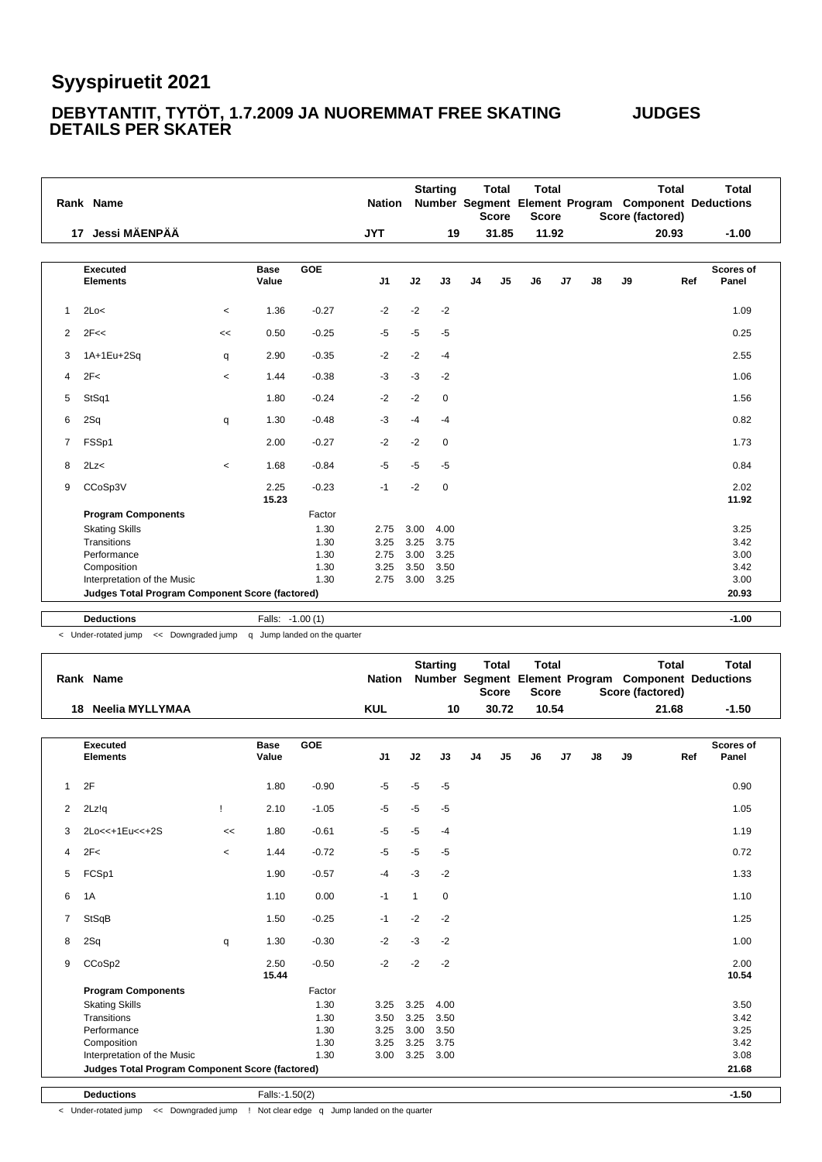#### **DEBYTANTIT, TYTÖT, 1.7.2009 JA NUOREMMAT FREE SKATING JUDGES DETAILS PER SKATER**

|                | Rank Name                                       |                          |                      |            | <b>Nation</b>  |      | <b>Starting</b> |                | <b>Total</b><br><b>Score</b> | <b>Total</b><br><b>Score</b> |       |    | <b>Total</b><br>Number Segment Element Program Component Deductions<br>Score (factored) |     | <b>Total</b>              |
|----------------|-------------------------------------------------|--------------------------|----------------------|------------|----------------|------|-----------------|----------------|------------------------------|------------------------------|-------|----|-----------------------------------------------------------------------------------------|-----|---------------------------|
|                | Jessi MÄENPÄÄ<br>17                             |                          |                      |            | <b>JYT</b>     |      | 19              |                | 31.85                        |                              | 11.92 |    | 20.93                                                                                   |     | $-1.00$                   |
|                |                                                 |                          |                      |            |                |      |                 |                |                              |                              |       |    |                                                                                         |     |                           |
|                | <b>Executed</b><br><b>Elements</b>              |                          | <b>Base</b><br>Value | <b>GOE</b> | J <sub>1</sub> | J2   | J3              | J <sub>4</sub> | J <sub>5</sub>               | J6                           | J7    | J8 | J9                                                                                      | Ref | <b>Scores of</b><br>Panel |
| $\mathbf{1}$   | 2Lo<                                            | $\,<$                    | 1.36                 | $-0.27$    | $-2$           | $-2$ | $-2$            |                |                              |                              |       |    |                                                                                         |     | 1.09                      |
| 2              | 2F<<                                            | <<                       | 0.50                 | $-0.25$    | $-5$           | $-5$ | $-5$            |                |                              |                              |       |    |                                                                                         |     | 0.25                      |
| 3              | 1A+1Eu+2Sq                                      | q                        | 2.90                 | $-0.35$    | $-2$           | $-2$ | $-4$            |                |                              |                              |       |    |                                                                                         |     | 2.55                      |
| 4              | 2F<                                             | $\overline{\phantom{0}}$ | 1.44                 | $-0.38$    | $-3$           | $-3$ | $-2$            |                |                              |                              |       |    |                                                                                         |     | 1.06                      |
| 5              | StSq1                                           |                          | 1.80                 | $-0.24$    | $-2$           | $-2$ | $\mathbf 0$     |                |                              |                              |       |    |                                                                                         |     | 1.56                      |
| 6              | 2Sq                                             | q                        | 1.30                 | $-0.48$    | $-3$           | $-4$ | $-4$            |                |                              |                              |       |    |                                                                                         |     | 0.82                      |
| $\overline{7}$ | FSSp1                                           |                          | 2.00                 | $-0.27$    | $-2$           | $-2$ | $\mathbf 0$     |                |                              |                              |       |    |                                                                                         |     | 1.73                      |
| 8              | 2Lz<                                            | $\prec$                  | 1.68                 | $-0.84$    | $-5$           | $-5$ | $-5$            |                |                              |                              |       |    |                                                                                         |     | 0.84                      |
| 9              | CCoSp3V                                         |                          | 2.25<br>15.23        | $-0.23$    | $-1$           | $-2$ | 0               |                |                              |                              |       |    |                                                                                         |     | 2.02<br>11.92             |
|                | <b>Program Components</b>                       |                          |                      | Factor     |                |      |                 |                |                              |                              |       |    |                                                                                         |     |                           |
|                | <b>Skating Skills</b>                           |                          |                      | 1.30       | 2.75           | 3.00 | 4.00            |                |                              |                              |       |    |                                                                                         |     | 3.25                      |
|                | Transitions                                     |                          |                      | 1.30       | 3.25           | 3.25 | 3.75            |                |                              |                              |       |    |                                                                                         |     | 3.42                      |
|                | Performance                                     |                          |                      | 1.30       | 2.75           | 3.00 | 3.25            |                |                              |                              |       |    |                                                                                         |     | 3.00                      |
|                | Composition                                     |                          |                      | 1.30       | 3.25           | 3.50 | 3.50            |                |                              |                              |       |    |                                                                                         |     | 3.42                      |
|                | Interpretation of the Music                     |                          |                      | 1.30       | 2.75           | 3.00 | 3.25            |                |                              |                              |       |    |                                                                                         |     | 3.00                      |
|                | Judges Total Program Component Score (factored) |                          |                      |            |                |      |                 |                |                              |                              |       |    |                                                                                         |     | 20.93                     |
|                |                                                 |                          |                      |            |                |      |                 |                |                              |                              |       |    |                                                                                         |     |                           |
|                | <b>Deductions</b>                               |                          | Falls: -1.00(1)      |            |                |      |                 |                |                              |                              |       |    |                                                                                         |     | $-1.00$                   |

< Under-rotated jump << Downgraded jump q Jump landed on the quarter

|                | Rank Name                                       |                          |                      |            | <b>Nation</b>  |              | <b>Starting</b> |                | <b>Total</b><br><b>Score</b> | <b>Total</b><br><b>Score</b> |    |    |    | <b>Total</b><br>Score (factored) | <b>Total</b><br>Number Segment Element Program Component Deductions |
|----------------|-------------------------------------------------|--------------------------|----------------------|------------|----------------|--------------|-----------------|----------------|------------------------------|------------------------------|----|----|----|----------------------------------|---------------------------------------------------------------------|
|                | 18 Neelia MYLLYMAA                              |                          |                      |            | <b>KUL</b>     |              | 10              |                | 30.72                        | 10.54                        |    |    |    | 21.68                            | $-1.50$                                                             |
|                | <b>Executed</b><br><b>Elements</b>              |                          | <b>Base</b><br>Value | <b>GOE</b> | J <sub>1</sub> | J2           | J3              | J <sub>4</sub> | J5                           | J6                           | J7 | J8 | J9 |                                  | Scores of<br>Panel<br>Ref                                           |
| $\mathbf{1}$   | 2F                                              |                          | 1.80                 | $-0.90$    | $-5$           | $-5$         | $-5$            |                |                              |                              |    |    |    |                                  | 0.90                                                                |
| 2              | 2Lz!q                                           | Ţ                        | 2.10                 | $-1.05$    | $-5$           | $-5$         | $-5$            |                |                              |                              |    |    |    |                                  | 1.05                                                                |
| 3              | 2Lo<<+1Eu<<+2S                                  | <<                       | 1.80                 | $-0.61$    | $-5$           | $-5$         | $-4$            |                |                              |                              |    |    |    |                                  | 1.19                                                                |
| 4              | 2F<                                             | $\overline{\phantom{0}}$ | 1.44                 | $-0.72$    | $-5$           | $-5$         | $-5$            |                |                              |                              |    |    |    |                                  | 0.72                                                                |
| 5              | FCSp1                                           |                          | 1.90                 | $-0.57$    | $-4$           | $-3$         | $-2$            |                |                              |                              |    |    |    |                                  | 1.33                                                                |
| 6              | 1A                                              |                          | 1.10                 | 0.00       | $-1$           | $\mathbf{1}$ | $\mathbf 0$     |                |                              |                              |    |    |    |                                  | 1.10                                                                |
| $\overline{7}$ | <b>StSqB</b>                                    |                          | 1.50                 | $-0.25$    | $-1$           | $-2$         | $-2$            |                |                              |                              |    |    |    |                                  | 1.25                                                                |
| 8              | 2Sq                                             | q                        | 1.30                 | $-0.30$    | $-2$           | $-3$         | $-2$            |                |                              |                              |    |    |    |                                  | 1.00                                                                |
| 9              | CCoSp2                                          |                          | 2.50<br>15.44        | $-0.50$    | $-2$           | $-2$         | $-2$            |                |                              |                              |    |    |    |                                  | 2.00<br>10.54                                                       |
|                | <b>Program Components</b>                       |                          |                      | Factor     |                |              |                 |                |                              |                              |    |    |    |                                  |                                                                     |
|                | <b>Skating Skills</b>                           |                          |                      | 1.30       | 3.25           | 3.25         | 4.00            |                |                              |                              |    |    |    |                                  | 3.50                                                                |
|                | Transitions                                     |                          |                      | 1.30       | 3.50           | 3.25         | 3.50            |                |                              |                              |    |    |    |                                  | 3.42                                                                |
|                | Performance                                     |                          |                      | 1.30       | 3.25           | 3.00         | 3.50            |                |                              |                              |    |    |    |                                  | 3.25                                                                |
|                | Composition                                     |                          |                      | 1.30       | 3.25           | 3.25         | 3.75            |                |                              |                              |    |    |    |                                  | 3.42                                                                |
|                | Interpretation of the Music                     |                          |                      | 1.30       | 3.00           | 3.25         | 3.00            |                |                              |                              |    |    |    |                                  | 3.08                                                                |
|                | Judges Total Program Component Score (factored) |                          |                      |            |                |              |                 |                |                              |                              |    |    |    |                                  | 21.68                                                               |

**Deductions** Falls:-1.50(2) **-1.50**

< Under-rotated jump << Downgraded jump ! Not clear edge q Jump landed on the quarter